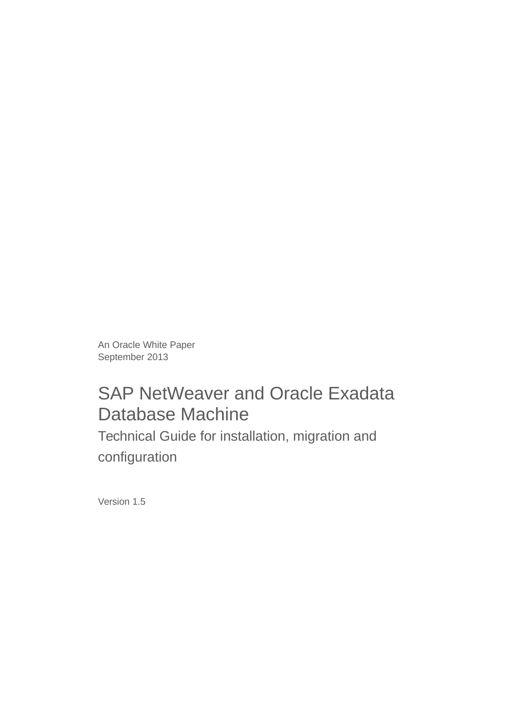An Oracle White Paper September 2013

# SAP NetWeaver and Oracle Exadata Database Machine

 Technical Guide for installation, migration and configuration

Version 1.5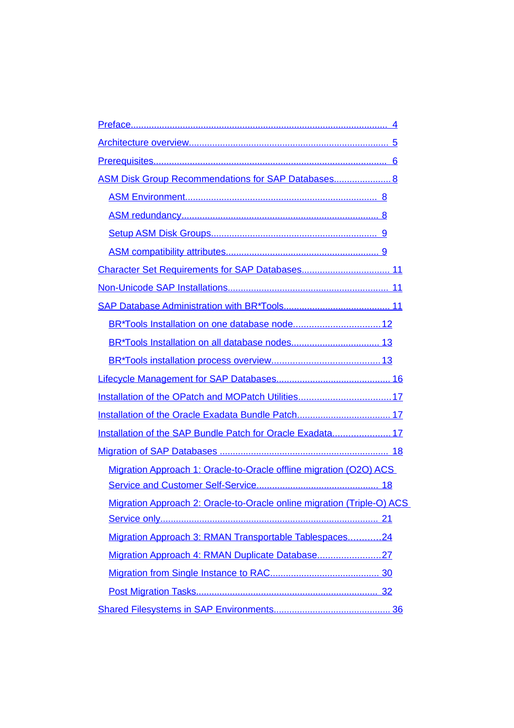| ASM Disk Group Recommendations for SAP Databases 8                     |    |
|------------------------------------------------------------------------|----|
|                                                                        |    |
|                                                                        |    |
|                                                                        |    |
|                                                                        |    |
|                                                                        |    |
|                                                                        |    |
|                                                                        |    |
|                                                                        |    |
|                                                                        |    |
|                                                                        |    |
|                                                                        |    |
|                                                                        |    |
|                                                                        |    |
| Installation of the SAP Bundle Patch for Oracle Exadata17              |    |
|                                                                        |    |
| Migration Approach 1: Oracle-to-Oracle offline migration (O2O) ACS     |    |
|                                                                        |    |
| Migration Approach 2: Oracle-to-Oracle online migration (Triple-O) ACS |    |
|                                                                        |    |
| Migration Approach 3: RMAN Transportable Tablespaces24                 |    |
| Migration Approach 4: RMAN Duplicate Database27                        |    |
|                                                                        |    |
|                                                                        |    |
|                                                                        | 36 |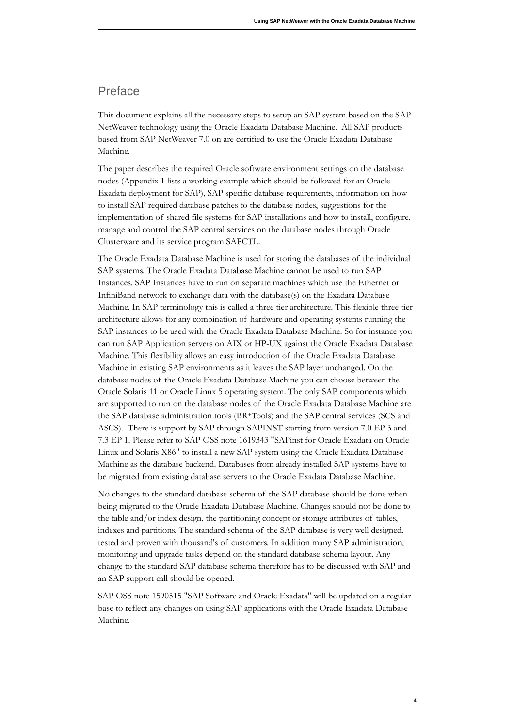### <span id="page-3-0"></span>Preface

This document explains all the necessary steps to setup an SAP system based on the SAP NetWeaver technology using the Oracle Exadata Database Machine. All SAP products based from SAP NetWeaver 7.0 on are certified to use the Oracle Exadata Database Machine.

The paper describes the required Oracle software environment settings on the database nodes (Appendix 1 lists a working example which should be followed for an Oracle Exadata deployment for SAP), SAP specific database requirements, information on how to install SAP required database patches to the database nodes, suggestions for the implementation of shared file systems for SAP installations and how to install, configure, manage and control the SAP central services on the database nodes through Oracle Clusterware and its service program SAPCTL.

The Oracle Exadata Database Machine is used for storing the databases of the individual SAP systems. The Oracle Exadata Database Machine cannot be used to run SAP Instances. SAP Instances have to run on separate machines which use the Ethernet or InfiniBand network to exchange data with the database(s) on the Exadata Database Machine. In SAP terminology this is called a three tier architecture. This flexible three tier architecture allows for any combination of hardware and operating systems running the SAP instances to be used with the Oracle Exadata Database Machine. So for instance you can run SAP Application servers on AIX or HP-UX against the Oracle Exadata Database Machine. This flexibility allows an easy introduction of the Oracle Exadata Database Machine in existing SAP environments as it leaves the SAP layer unchanged. On the database nodes of the Oracle Exadata Database Machine you can choose between the Oracle Solaris 11 or Oracle Linux 5 operating system. The only SAP components which are supported to run on the database nodes of the Oracle Exadata Database Machine are the SAP database administration tools (BR\*Tools) and the SAP central services (SCS and ASCS). There is support by SAP through SAPINST starting from version 7.0 EP 3 and 7.3 EP 1. Please refer to SAP OSS note 1619343 "SAPinst for Oracle Exadata on Oracle Linux and Solaris X86" to install a new SAP system using the Oracle Exadata Database Machine as the database backend. Databases from already installed SAP systems have to be migrated from existing database servers to the Oracle Exadata Database Machine.

No changes to the standard database schema of the SAP database should be done when being migrated to the Oracle Exadata Database Machine. Changes should not be done to the table and/or index design, the partitioning concept or storage attributes of tables, indexes and partitions. The standard schema of the SAP database is very well designed, tested and proven with thousand's of customers. In addition many SAP administration, monitoring and upgrade tasks depend on the standard database schema layout. Any change to the standard SAP database schema therefore has to be discussed with SAP and an SAP support call should be opened.

SAP OSS note 1590515 "SAP Software and Oracle Exadata" will be updated on a regular base to reflect any changes on using SAP applications with the Oracle Exadata Database Machine.

**4**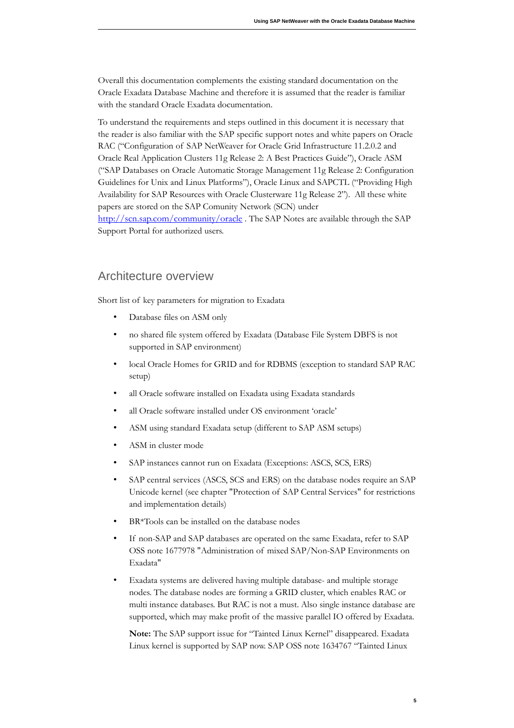Overall this documentation complements the existing standard documentation on the Oracle Exadata Database Machine and therefore it is assumed that the reader is familiar with the standard Oracle Exadata documentation.

To understand the requirements and steps outlined in this document it is necessary that the reader is also familiar with the SAP specific support notes and white papers on Oracle RAC ("Configuration of SAP NetWeaver for Oracle Grid Infrastructure 11.2.0.2 and Oracle Real Application Clusters 11g Release 2: A Best Practices Guide"), Oracle ASM ("SAP Databases on Oracle Automatic Storage Management 11g Release 2: Configuration Guidelines for Unix and Linux Platforms"), Oracle Linux and SAPCTL ("Providing High Availability for SAP Resources with Oracle Clusterware 11g Release 2"). All these white papers are stored on the SAP Comunity Network (SCN) under http://scn.sap.com/community/oracle . The SAP Notes are available through the SAP Support Portal for authorized users.

### <span id="page-4-0"></span>Architecture overview

Short list of key parameters for migration to Exadata

- Database files on ASM only
- no shared file system offered by Exadata (Database File System DBFS is not supported in SAP environment)
- local Oracle Homes for GRID and for RDBMS (exception to standard SAP RAC setup)
- all Oracle software installed on Exadata using Exadata standards
- all Oracle software installed under OS environment 'oracle'
- ASM using standard Exadata setup (different to SAP ASM setups)
- ASM in cluster mode
- SAP instances cannot run on Exadata (Exceptions: ASCS, SCS, ERS)
- SAP central services (ASCS, SCS and ERS) on the database nodes require an SAP Unicode kernel (see chapter "Protection of SAP Central Services" for restrictions and implementation details)
- BR\*Tools can be installed on the database nodes
- If non-SAP and SAP databases are operated on the same Exadata, refer to SAP OSS note 1677978 "Administration of mixed SAP/Non-SAP Environments on Exadata"
- Exadata systems are delivered having multiple database- and multiple storage nodes. The database nodes are forming a GRID cluster, which enables RAC or multi instance databases. But RAC is not a must. Also single instance database are supported, which may make profit of the massive parallel IO offered by Exadata.

Note: The SAP support issue for "Tainted Linux Kernel" disappeared. Exadata Linux kernel is supported by SAP now. SAP OSS note 1634767 "Tainted Linux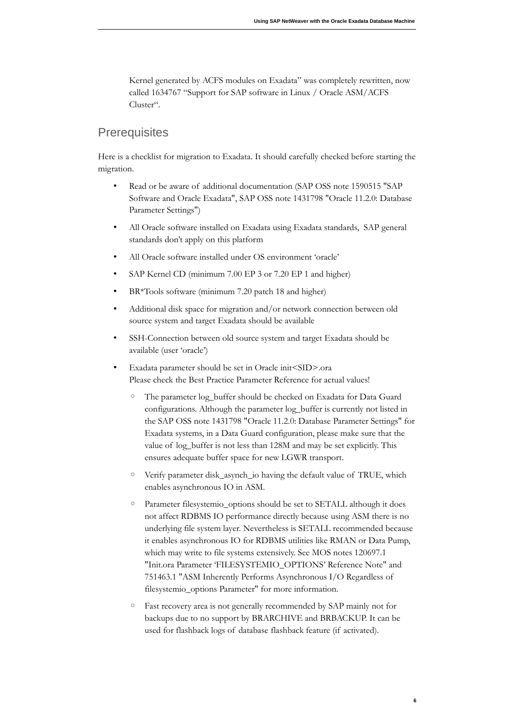Kernel generated by ACFS modules on Exadata" was completely rewritten, now called 1634767 "Support for SAP software in Linux / Oracle ASM/ACFS Cluster".

### <span id="page-5-0"></span>**Prerequisites**

Here is a checklist for migration to Exadata. It should carefully checked before starting the migration.

- Read or be aware of additional documentation (SAP OSS note 1590515 "SAP Software and Oracle Exadata", SAP OSS note 1431798 "Oracle 11.2.0: Database Parameter Settings")
- All Oracle software installed on Exadata using Exadata standards, SAP general standards don't apply on this platform
- All Oracle software installed under OS environment 'oracle'
- SAP Kernel CD (minimum 7.00 EP 3 or 7.20 EP 1 and higher)
- BR\*Tools software (minimum 7.20 patch 18 and higher)
- Additional disk space for migration and/or network connection between old source system and target Exadata should be available
- SSH-Connection between old source system and target Exadata should be available (user 'oracle')
- Exadata parameter should be set in Oracle init<SID>.ora Please check the Best Practice Parameter Reference for actual values!
	- The parameter log\_buffer should be checked on Exadata for Data Guard configurations. Although the parameter log\_buffer is currently not listed in the SAP OSS note 1431798 "Oracle 11.2.0: Database Parameter Settings" for Exadata systems, in a Data Guard configuration, please make sure that the value of log\_buffer is not less than 128M and may be set explicitly. This ensures adequate buffer space for new LGWR transport.
	- Verify parameter disk\_asynch\_io having the default value of TRUE, which enables asynchronous IO in ASM.
	- Parameter filesystemio\_options should be set to SETALL although it does not affect RDBMS IO performance directly because using ASM there is no underlying file system layer. Nevertheless is SETALL recommended because it enables asynchronous IO for RDBMS utilities like RMAN or Data Pump, which may write to file systems extensively. See MOS notes 120697.1 "Init.ora Parameter 'FILESYSTEMIO\_OPTIONS' Reference Note" and 751463.1 "ASM Inherently Performs Asynchronous I/O Regardless of filesystemio\_options Parameter" for more information.
	- $\circ$  Fast recovery area is not generally recommended by SAP mainly not for backups due to no support by BRARCHIVE and BRBACKUP. It can be used for flashback logs of database flashback feature (if activated).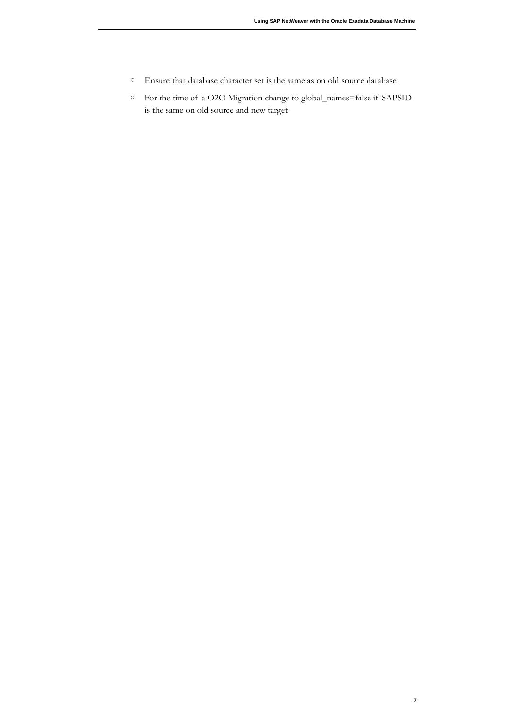- Ensure that database character set is the same as on old source database
- For the time of a O2O Migration change to global\_names=false if SAPSID is the same on old source and new target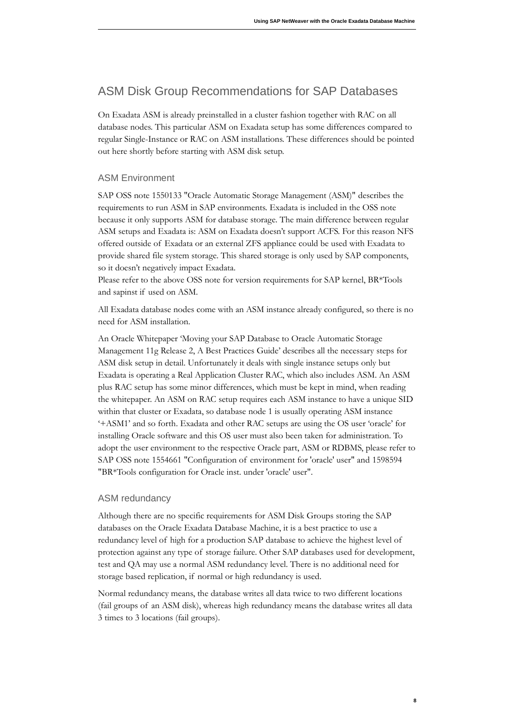# <span id="page-7-2"></span>ASM Disk Group Recommendations for SAP Databases

On Exadata ASM is already preinstalled in a cluster fashion together with RAC on all database nodes. This particular ASM on Exadata setup has some differences compared to regular Single-Instance or RAC on ASM installations. These differences should be pointed out here shortly before starting with ASM disk setup.

#### <span id="page-7-1"></span>ASM Environment

SAP OSS note 1550133 "Oracle Automatic Storage Management (ASM)" describes the requirements to run ASM in SAP environments. Exadata is included in the OSS note because it only supports ASM for database storage. The main difference between regular ASM setups and Exadata is: ASM on Exadata doesn't support ACFS. For this reason NFS offered outside of Exadata or an external ZFS appliance could be used with Exadata to provide shared file system storage. This shared storage is only used by SAP components, so it doesn't negatively impact Exadata.

Please refer to the above OSS note for version requirements for SAP kernel, BR\*Tools and sapinst if used on ASM.

All Exadata database nodes come with an ASM instance already configured, so there is no need for ASM installation.

An Oracle Whitepaper 'Moving your SAP Database to Oracle Automatic Storage Management 11g Release 2, A Best Practices Guide' describes all the necessary steps for ASM disk setup in detail. Unfortunately it deals with single instance setups only but Exadata is operating a Real Application Cluster RAC, which also includes ASM. An ASM plus RAC setup has some minor differences, which must be kept in mind, when reading the whitepaper. An ASM on RAC setup requires each ASM instance to have a unique SID within that cluster or Exadata, so database node 1 is usually operating ASM instance '+ASM1' and so forth. Exadata and other RAC setups are using the OS user 'oracle' for installing Oracle software and this OS user must also been taken for administration. To adopt the user environment to the respective Oracle part, ASM or RDBMS, please refer to SAP OSS note 1554661 "Configuration of environment for 'oracle' user" and 1598594 "BR\*Tools configuration for Oracle inst. under 'oracle' user".

#### <span id="page-7-0"></span>ASM redundancy

Although there are no specific requirements for ASM Disk Groups storing the SAP databases on the Oracle Exadata Database Machine, it is a best practice to use a redundancy level of high for a production SAP database to achieve the highest level of protection against any type of storage failure. Other SAP databases used for development, test and QA may use a normal ASM redundancy level. There is no additional need for storage based replication, if normal or high redundancy is used.

Normal redundancy means, the database writes all data twice to two different locations (fail groups of an ASM disk), whereas high redundancy means the database writes all data 3 times to 3 locations (fail groups).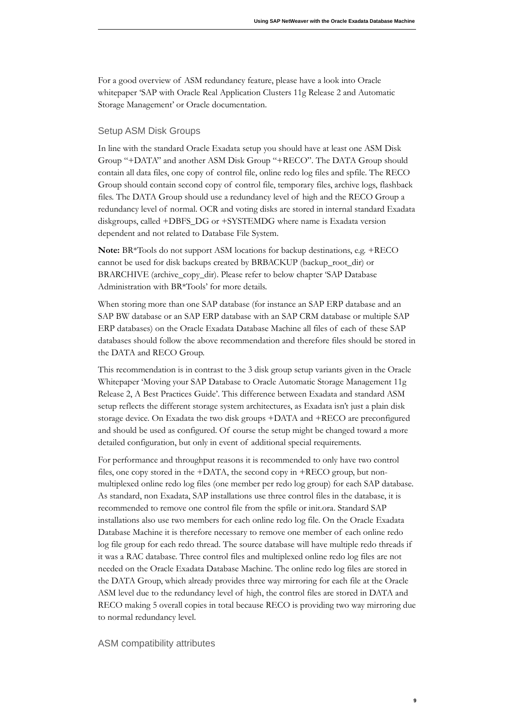For a good overview of ASM redundancy feature, please have a look into Oracle whitepaper 'SAP with Oracle Real Application Clusters 11g Release 2 and Automatic Storage Management' or Oracle documentation.

#### <span id="page-8-1"></span>Setup ASM Disk Groups

In line with the standard Oracle Exadata setup you should have at least one ASM Disk Group "+DATA" and another ASM Disk Group "+RECO". The DATA Group should contain all data files, one copy of control file, online redo log files and spfile. The RECO Group should contain second copy of control file, temporary files, archive logs, flashback files. The DATA Group should use a redundancy level of high and the RECO Group a redundancy level of normal. OCR and voting disks are stored in internal standard Exadata diskgroups, called +DBFS\_DG or +SYSTEMDG where name is Exadata version dependent and not related to Database File System.

Note: BR\*Tools do not support ASM locations for backup destinations, e.g. +RECO cannot be used for disk backups created by BRBACKUP (backup\_root\_dir) or BRARCHIVE (archive\_copy\_dir). Please refer to below chapter 'SAP Database Administration with BR\*Tools' for more details.

When storing more than one SAP database (for instance an SAP ERP database and an SAP BW database or an SAP ERP database with an SAP CRM database or multiple SAP ERP databases) on the Oracle Exadata Database Machine all files of each of these SAP databases should follow the above recommendation and therefore files should be stored in the DATA and RECO Group.

This recommendation is in contrast to the 3 disk group setup variants given in the Oracle Whitepaper 'Moving your SAP Database to Oracle Automatic Storage Management 11g Release 2, A Best Practices Guide'. This difference between Exadata and standard ASM setup reflects the different storage system architectures, as Exadata isn't just a plain disk storage device. On Exadata the two disk groups +DATA and +RECO are preconfigured and should be used as configured. Of course the setup might be changed toward a more detailed configuration, but only in event of additional special requirements.

For performance and throughput reasons it is recommended to only have two control files, one copy stored in the +DATA, the second copy in +RECO group, but nonmultiplexed online redo log files (one member per redo log group) for each SAP database. As standard, non Exadata, SAP installations use three control files in the database, it is recommended to remove one control file from the spfile or init.ora. Standard SAP installations also use two members for each online redo log file. On the Oracle Exadata Database Machine it is therefore necessary to remove one member of each online redo log file group for each redo thread. The source database will have multiple redo threads if it was a RAC database. Three control files and multiplexed online redo log files are not needed on the Oracle Exadata Database Machine. The online redo log files are stored in the DATA Group, which already provides three way mirroring for each file at the Oracle ASM level due to the redundancy level of high, the control files are stored in DATA and RECO making 5 overall copies in total because RECO is providing two way mirroring due to normal redundancy level.

#### <span id="page-8-0"></span>ASM compatibility attributes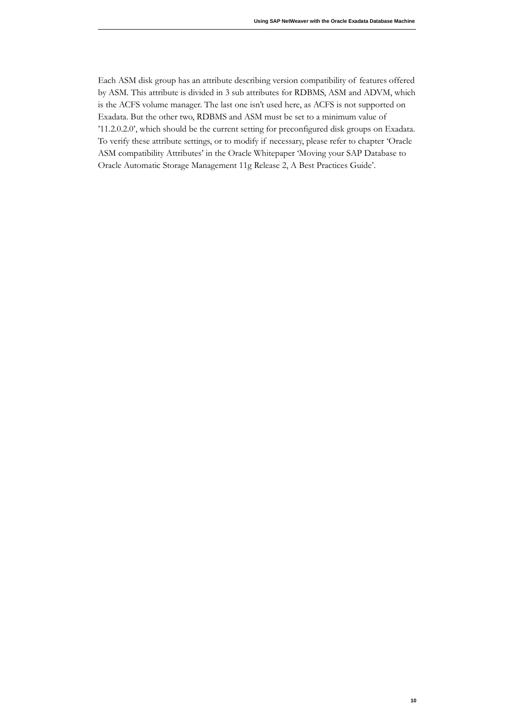Each ASM disk group has an attribute describing version compatibility of features offered by ASM. This attribute is divided in 3 sub attributes for RDBMS, ASM and ADVM, which is the ACFS volume manager. The last one isn't used here, as ACFS is not supported on Exadata. But the other two, RDBMS and ASM must be set to a minimum value of '11.2.0.2.0', which should be the current setting for preconfigured disk groups on Exadata. To verify these attribute settings, or to modify if necessary, please refer to chapter 'Oracle ASM compatibility Attributes' in the Oracle Whitepaper 'Moving your SAP Database to Oracle Automatic Storage Management 11g Release 2, A Best Practices Guide'.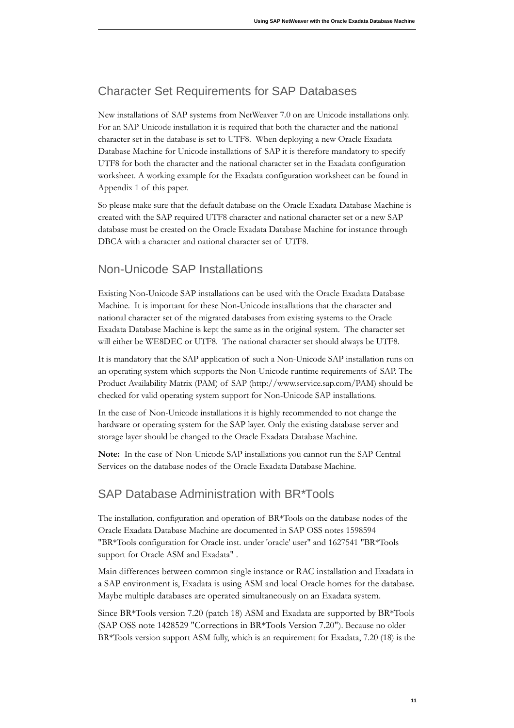# <span id="page-10-2"></span>Character Set Requirements for SAP Databases

New installations of SAP systems from NetWeaver 7.0 on are Unicode installations only. For an SAP Unicode installation it is required that both the character and the national character set in the database is set to UTF8. When deploying a new Oracle Exadata Database Machine for Unicode installations of SAP it is therefore mandatory to specify UTF8 for both the character and the national character set in the Exadata configuration worksheet. A working example for the Exadata configuration worksheet can be found in Appendix 1 of this paper.

So please make sure that the default database on the Oracle Exadata Database Machine is created with the SAP required UTF8 character and national character set or a new SAP database must be created on the Oracle Exadata Database Machine for instance through DBCA with a character and national character set of UTF8.

# <span id="page-10-1"></span>Non-Unicode SAP Installations

Existing Non-Unicode SAP installations can be used with the Oracle Exadata Database Machine. It is important for these Non-Unicode installations that the character and national character set of the migrated databases from existing systems to the Oracle Exadata Database Machine is kept the same as in the original system. The character set will either be WE8DEC or UTF8. The national character set should always be UTF8.

It is mandatory that the SAP application of such a Non-Unicode SAP installation runs on an operating system which supports the Non-Unicode runtime requirements of SAP. The Product Availability Matrix (PAM) of SAP (http://www.service.sap.com/PAM) should be checked for valid operating system support for Non-Unicode SAP installations.

In the case of Non-Unicode installations it is highly recommended to not change the hardware or operating system for the SAP layer. Only the existing database server and storage layer should be changed to the Oracle Exadata Database Machine.

Note: In the case of Non-Unicode SAP installations you cannot run the SAP Central Services on the database nodes of the Oracle Exadata Database Machine.

### <span id="page-10-0"></span>SAP Database Administration with BR\*Tools

The installation, configuration and operation of BR\*Tools on the database nodes of the Oracle Exadata Database Machine are documented in SAP OSS notes 1598594 "BR\*Tools configuration for Oracle inst. under 'oracle' user" and 1627541 "BR\*Tools support for Oracle ASM and Exadata".

Main differences between common single instance or RAC installation and Exadata in a SAP environment is, Exadata is using ASM and local Oracle homes for the database. Maybe multiple databases are operated simultaneously on an Exadata system.

Since BR\*Tools version 7.20 (patch 18) ASM and Exadata are supported by BR\*Tools (SAP OSS note 1428529 "Corrections in BR\*Tools Version 7.20"). Because no older BR\*Tools version support ASM fully, which is an requirement for Exadata, 7.20 (18) is the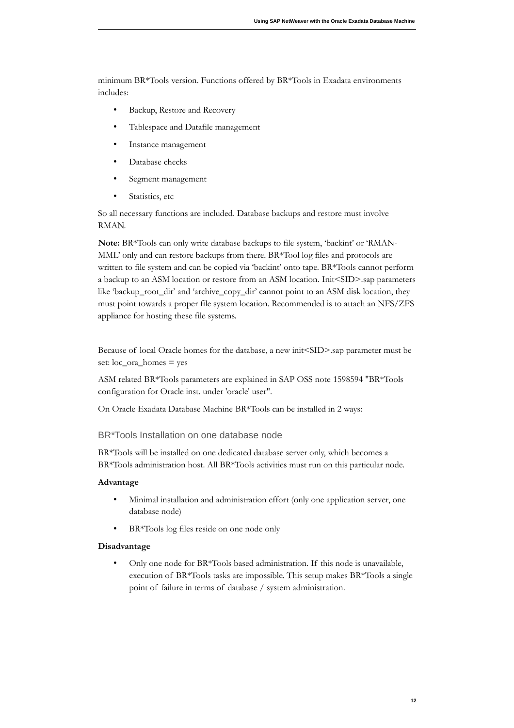minimum BR\*Tools version. Functions offered by BR\*Tools in Exadata environments includes:

- Backup, Restore and Recovery
- Tablespace and Datafile management
- Instance management
- Database checks
- Segment management
- Statistics, etc

So all necessary functions are included. Database backups and restore must involve RMAN.

Note: BR\*Tools can only write database backups to file system, 'backint' or 'RMAN-MML' only and can restore backups from there. BR\*Tool log files and protocols are written to file system and can be copied via 'backint' onto tape. BR\*Tools cannot perform a backup to an ASM location or restore from an ASM location. Init<SID>.sap parameters like 'backup\_root\_dir' and 'archive\_copy\_dir' cannot point to an ASM disk location, they must point towards a proper file system location. Recommended is to attach an NFS/ZFS appliance for hosting these file systems.

Because of local Oracle homes for the database, a new init<SID>.sap parameter must be set:  $loc_{\text{a}}$  homes = yes

ASM related BR\*Tools parameters are explained in SAP OSS note 1598594 "BR\*Tools configuration for Oracle inst. under 'oracle' user".

On Oracle Exadata Database Machine BR\*Tools can be installed in 2 ways:

<span id="page-11-0"></span>BR\*Tools Installation on one database node

BR\*Tools will be installed on one dedicated database server only, which becomes a BR\*Tools administration host. All BR\*Tools activities must run on this particular node.

#### **dvantage**

- Minimal installation and administration effort (only one application server, one database node)
- BR\*Tools log files reside on one node only

#### **Disadvantage**

• Only one node for BR\*Tools based administration. If this node is unavailable, execution of BR\*Tools tasks are impossible. This setup makes BR\*Tools a single point of failure in terms of database / system administration.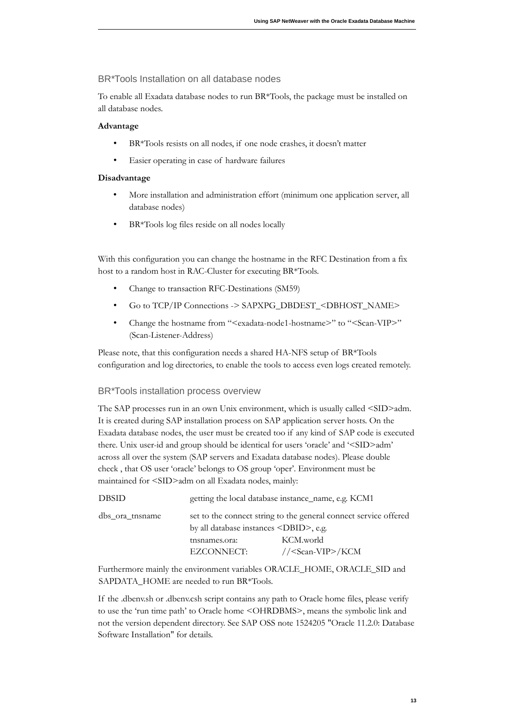#### <span id="page-12-1"></span>BR\*Tools Installation on all database nodes

To enable all Exadata database nodes to run BR\*Tools, the package must be installed on all database nodes.

#### **dvantage**

- BR\*Tools resists on all nodes, if one node crashes, it doesn't matter
- Easier operating in case of hardware failures

#### **Disadvantage**

- More installation and administration effort (minimum one application server, all database nodes)
- BR\*Tools log files reside on all nodes locally

With this configuration you can change the hostname in the RFC Destination from a fix host to a random host in RAC-Cluster for executing BR\*Tools.

- Change to transaction RFC-Destinations (SM59)
- Go to TCP/IP Connections -> SAPXPG\_DBDEST\_<DBHOST\_NAME>
- Change the hostname from "<exadata-node1-hostname>" to "<Scan-VIP>" (Scan-Listener-Address)

Please note, that this configuration needs a shared HA-NFS setup of BR\*Tools configuration and log directories, to enable the tools to access even logs created remotely.

#### <span id="page-12-0"></span>BR\*Tools installation process overview

The SAP processes run in an own Unix environment, which is usually called <SID>adm. It is created during SAP installation process on SAP application server hosts. On the Exadata database nodes, the user must be created too if any kind of SAP code is executed there. Unix user-id and group should be identical for users 'oracle' and '<SID>adm' across all over the system (SAP servers and Exadata database nodes). Please double check, that OS user 'oracle' belongs to OS group 'oper'. Environment must be maintained for <SID>adm on all Exadata nodes, mainly:

| <b>DBSID</b>    |                                               | getting the local database instance_name, e.g. KCM1              |
|-----------------|-----------------------------------------------|------------------------------------------------------------------|
| dbs ora tnsname |                                               | set to the connect string to the general connect service offered |
|                 | by all database instances <dbid>, e.g.</dbid> |                                                                  |
|                 | tnsnames.ora:                                 | KCM.world                                                        |
|                 | EZCONNECT:                                    | // <scan-vip>/KCM</scan-vip>                                     |
|                 |                                               |                                                                  |

Furthermore mainly the environment variables ORACLE\_HOME, ORACLE\_SID and SAPDATA\_HOME are needed to run BR\*Tools.

If the .dbenv.sh or .dbenv.csh script contains any path to Oracle home files, please verify to use the 'run time path' to Oracle home <OHRDBMS>, means the symbolic link and not the version dependent directory. See SAP OSS note 1524205 "Oracle 11.2.0: Database Software Installation" for details.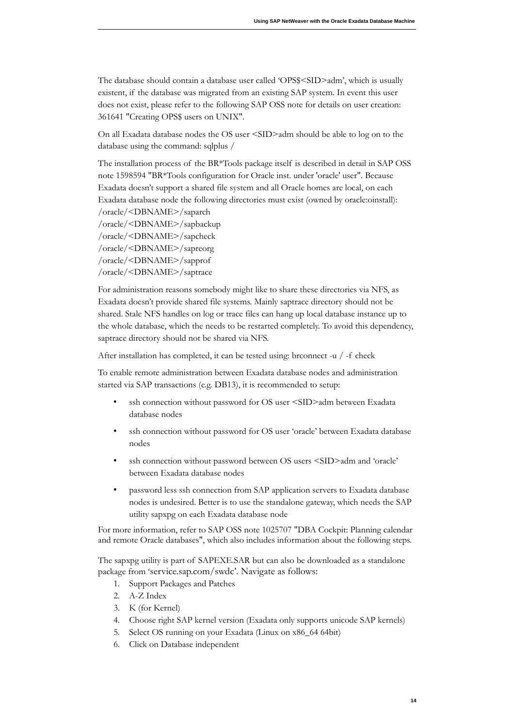The database should contain a database user called 'OPS\$<SID>adm', which is usually existent, if the database was migrated from an existing SAP system. In event this user does not exist, please refer to the following SAP OSS note for details on user creation: 361641 "Creating OPS\$ users on UNIX".

On all Exadata database nodes the OS user <SID>adm should be able to log on to the database using the command: sqlplus /

The installation process of the BR\*Tools package itself is described in detail in SAP OSS note 1598594 "BR\*Tools configuration for Oracle inst. under 'oracle' user". Because Exadata doesn't support a shared file system and all Oracle homes are local, on each Exadata database node the following directories must exist (owned by oracle: oinstall): /oracle/<DBNAME>/saparch /oracle/<DBNAME>/sapbackup

/oracle/<DBNAME>/sapcheck /oracle/<DBNAME>/sapreorg /oracle/<DBNAME>/sapprof /oracle/<DBNAME>/saptrace

For administration reasons somebody might like to share these directories via NFS, as Exadata doesn't provide shared file systems. Mainly saptrace directory should not be shared. Stale NFS handles on log or trace files can hang up local database instance up to the whole database, which the needs to be restarted completely. To avoid this dependency, saptrace directory should not be shared via NFS.

After installation has completed, it can be tested using: brconnect -u / -f check

To enable remote administration between Exadata database nodes and administration started via SAP transactions (e.g. DB13), it is recommended to setup:

- ssh connection without password for OS user <SID>adm between Exadata database nodes
- ssh connection without password for OS user 'oracle' between Exadata database nodes
- ssh connection without password between OS users <SID>adm and 'oracle' between Exadata database nodes
- password less ssh connection from SAP application servers to Exadata database nodes is undesired. Better is to use the standalone gateway, which needs the SAP utility sapxpg on each Exadata database node

For more information, refer to SAP OSS note 1025707 "DBA Cockpit: Planning calendar and remote Oracle databases", which also includes information about the following steps.

The sapxpg utility is part of SAPEXE.SAR but can also be downloaded as a standalone package from 'service.sap.com/swdc'. Navigate as follows:

- 1. Support Packages and Patches
- 2. A-Z Index
- 3. K (for Kernel)
- 4. Choose right SAP kernel version (Exadata only supports unicode SAP kernels)
- 5. Select OS running on your Exadata (Linux on x86\_64 64bit)
- 6. Click on Database independent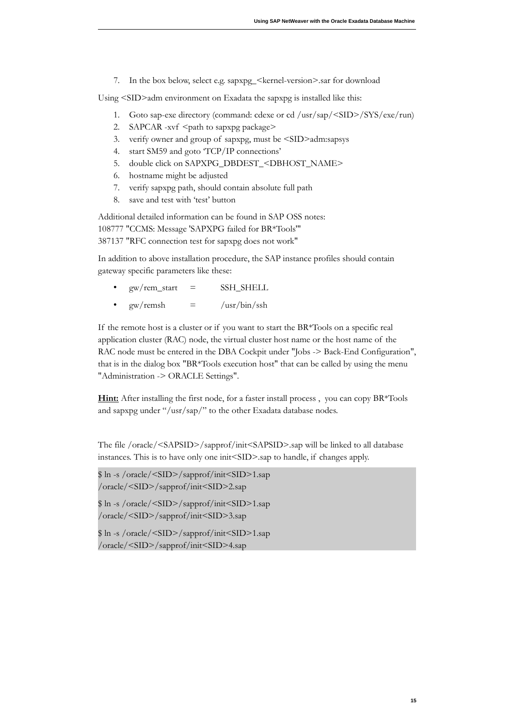7. In the box below, select e.g. sapxpg\_<kernel-version>.sar for download

Using <SID>adm environment on Exadata the sapxpg is installed like this:

- 1. Goto sap-exe directory (command: cdexe or cd /usr/sap/<SID>/SYS/exe/run)
- 2. SAPCAR -xvf <path to sapxpg package>
- 3. verify owner and group of sapxpg, must be <SID>adm:sapsys
- 4. start SM59 and goto 'TCP/IP connections'
- 5. double click on SAPXPG\_DBDEST\_<DBHOST\_NAME>
- 6. hostname might be adjusted
- 7. verify sapxpg path, should contain absolute full path
- 8. save and test with 'test' button

Additional detailed information can be found in SAP OSS notes: 108777 "CCMS: Message 'SAPXPG failed for BR\*Tools" 387137 "RFC connection test for sapxpg does not work"

In addition to above installation procedure, the SAP instance profiles should contain gateway specific parameters like these:

- $gw$ /rem\_start =  $SSH\_SHEL$
- $\frac{1}{\text{gw}}$ /remsh = /usr/bin/ssh

If the remote host is a cluster or if you want to start the BR $*T$ ools on a specific real application cluster (RAC) node, the virtual cluster host name or the host name of the RAC node must be entered in the DBA Cockpit under "Jobs -> Back-End Configuration", that is in the dialog box "BR\*Tools execution host" that can be called by using the menu "Administration -> ORACLE Settings".

Hint: After installing the first node, for a faster install process, you can copy BR\*Tools and sapxpg under "/usr/sap/" to the other Exadata database nodes.

The file /oracle/<SAPSID>/sapprof/init<SAPSID>.sap will be linked to all database instances. This is to have only one init<SID>.sap to handle, if changes apply.

```
 
$ ln -s / racle/<SID>/sappr f/init<SID>1.sap 

$ ln -s / racle/<SID>/sappr f/init<SID>1.sap 

$ ln -s / racle/<SID>/sappr f/init<SID>1.sap 
/oracle/<SID>/sapprof/init<SID>2.sap
/oracle/<SID>/sapprof/init<SID>3.sap
/oracle/<SID>/sapprof/init<SID>4.sap
```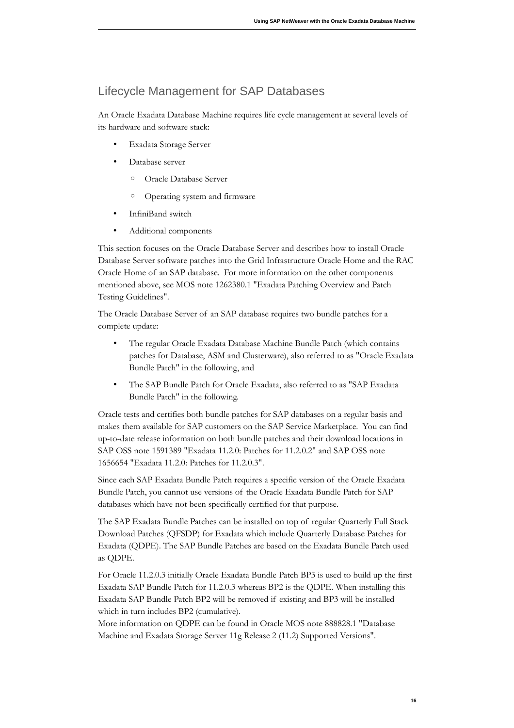### <span id="page-15-0"></span>Lifecycle Management for SAP Databases

An Oracle Exadata Database Machine requires life cycle management at several levels of its hardware and software stack:

- Exadata Storage Server
- Database server
	- Oracle Database Server
	- Operating system and firmware
- InfiniBand switch
- Additional components

This section focuses on the Oracle Database Server and describes how to install Oracle Database Server software patches into the Grid Infrastructure Oracle Home and the RAC Oracle Home of an SAP database. For more information on the other components mentioned above, see MOS note 1262380.1 "Exadata Patching Overview and Patch Testing Guidelines".

The Oracle Database Server of an SAP database requires two bundle patches for a complete update:

- The regular Oracle Exadata Database Machine Bundle Patch (which contains patches for Database, ASM and Clusterware), also referred to as "Oracle Exadata Bundle Patch" in the following, and
- The SAP Bundle Patch for Oracle Exadata, also referred to as "SAP Exadata Bundle Patch" in the following.

Oracle tests and certifies both bundle patches for SAP databases on a regular basis and makes them available for SAP customers on the SAP Service Marketplace. You can find up-to-date release information on both bundle patches and their download locations in SAP OSS note 1591389 "Exadata 11.2.0: Patches for 11.2.0.2" and SAP OSS note 1656654 "Exadata 11.2.0: Patches for 11.2.0.3".

Since each SAP Exadata Bundle Patch requires a specific version of the Oracle Exadata Bundle Patch, you cannot use versions of the Oracle Exadata Bundle Patch for SAP databases which have not been specifically certified for that purpose.

The SAP Exadata Bundle Patches can be installed on top of regular Quarterly Full Stack Download Patches (QFSDP) for Exadata which include Quarterly Database Patches for Exadata (QDPE). The SAP Bundle Patches are based on the Exadata Bundle Patch used as QDPE.

For Oracle 11.2.0.3 initially Oracle Exadata Bundle Patch BP3 is used to build up the first Exadata SAP Bundle Patch for 11.2.0.3 whereas BP2 is the QDPE. When installing this Exadata SAP Bundle Patch BP2 will be removed if existing and BP3 will be installed which in turn includes BP2 (cumulative).

More information on QDPE can be found in Oracle MOS note 888828.1 "Database Machine and Exadata Storage Server 11g Release 2 (11.2) Supported Versions".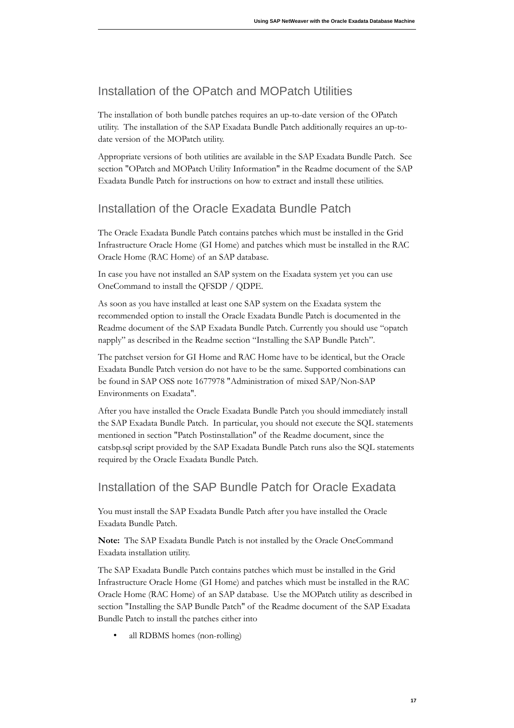# <span id="page-16-2"></span>Installation of the OPatch and MOPatch Utilities

The installation of both bundle patches requires an up-to-date version of the OPatch utility. The installation of the SAP Exadata Bundle Patch additionally requires an up-todate version of the MOPatch utility.

Appropriate versions of both utilities are available in the SAP Exadata Bundle Patch. See section "OPatch and MOPatch Utility Information" in the Readme document of the SAP Exadata Bundle Patch for instructions on how to extract and install these utilities.

# <span id="page-16-1"></span>Installation of the Oracle Exadata Bundle Patch

The Oracle Exadata Bundle Patch contains patches which must be installed in the Grid Infrastructure Oracle Home (GI Home) and patches which must be installed in the RAC Oracle Home (RAC Home) of an SAP database.

In case you have not installed an SAP system on the Exadata system yet you can use OneCommand to install the QFSDP / QDPE.

As soon as you have installed at least one SAP system on the Exadata system the recommended option to install the Oracle Exadata Bundle Patch is documented in the Readme document of the SAP Exadata Bundle Patch. Currently you should use "opatch napply" as described in the Readme section "Installing the SAP Bundle Patch".

The patchset version for GI Home and RAC Home have to be identical, but the Oracle Exadata Bundle Patch version do not have to be the same. Supported combinations can be found in SAP OSS note 1677978 "Administration of mixed SAP/Non-SAP Environments on Exadata".

After you have installed the Oracle Exadata Bundle Patch you should immediately install the SAP Exadata Bundle Patch. In particular, you should not execute the SQL statements mentioned in section "Patch Postinstallation" of the Readme document, since the catsbp.sql script provided by the SAP Exadata Bundle Patch runs also the SQL statements required by the Oracle Exadata Bundle Patch.

### <span id="page-16-0"></span>Installation of the SAP Bundle Patch for Oracle Exadata

You must install the SAP Exadata Bundle Patch after you have installed the Oracle Exadata Bundle Patch.

Note: The SAP Exadata Bundle Patch is not installed by the Oracle OneCommand Exadata installation utility.

The SAP Exadata Bundle Patch contains patches which must be installed in the Grid Infrastructure Oracle Home (GI Home) and patches which must be installed in the RAC Oracle Home (RAC Home) of an SAP database. Use the MOPatch utility as described in section "Installing the SAP Bundle Patch" of the Readme document of the SAP Exadata Bundle Patch to install the patches either into

• all RDBMS homes (non-rolling)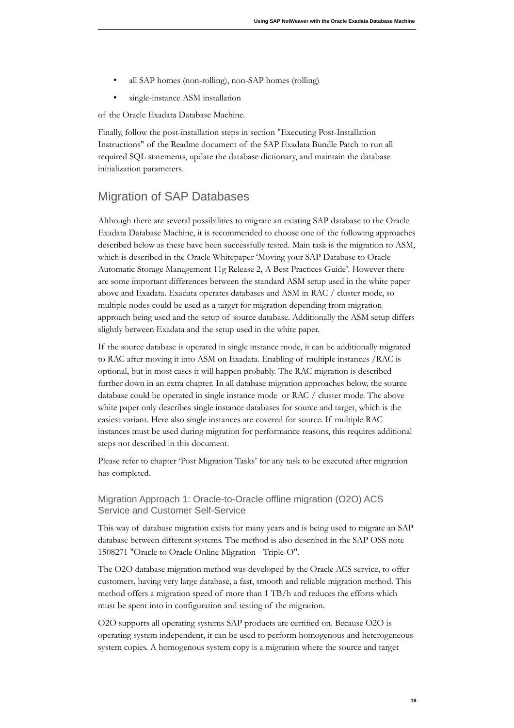- all SAP homes (non-rolling), non-SAP homes (rolling)
- single-instance ASM installation

of the Oracle Exadata Database Machine.

Finally, follow the post-installation steps in section "Executing Post-Installation Instructions" of the Readme document of the SAP Exadata Bundle Patch to run all required SQL statements, update the database dictionary, and maintain the database initialization parameters.

### <span id="page-17-1"></span>Migration of SAP Databases

Although there are several possibilities to migrate an existing SAP database to the Oracle Exadata Database Machine, it is recommended to choose one of the following approaches described below as these have been successfully tested. Main task is the migration to ASM, which is described in the Oracle Whitepaper 'Moving your SAP Database to Oracle Automatic Storage Management 11g Release 2, A Best Practices Guide'. However there are some important differences between the standard ASM setup used in the white paper above and Exadata. Exadata operates databases and ASM in RAC / cluster mode, so multiple nodes could be used as a target for migration depending from migration approach being used and the setup of source database. Additionally the ASM setup differs slightly between Exadata and the setup used in the white paper.

If the source database is operated in single instance mode, it can be additionally migrated to RAC after moving it into ASM on Exadata. Enabling of multiple instances / RAC is optional, but in most cases it will happen probably. The RAC migration is described further down in an extra chapter. In all database migration approaches below, the source database could be operated in single instance mode or RAC / cluster mode. The above white paper only describes single instance databases for source and target, which is the easiest variant. Here also single instances are covered for source. If multiple RAC instances must be used during migration for performance reasons, this requires additional steps not described in this document.

Please refer to chapter 'Post Migration Tasks' for any task to be executed after migration has completed.

<span id="page-17-0"></span> Migration Approach 1: Oracle-to-Oracle offline migration (O2O) ACS Service and Customer Self-Service

This way of database migration exists for many years and is being used to migrate an SAP database between different systems. The method is also described in the SAP OSS note 1508271 "Oracle to Oracle Online Migration - Triple-O".

The O2O database migration method was developed by the Oracle ACS service, to offer customers, having very large database, a fast, smooth and reliable migration method. This method offers a migration speed of more than 1 TB/h and reduces the efforts which must be spent into in configuration and testing of the migration.

O2O supports all operating systems SAP products are certified on. Because O2O is operating system independent, it can be used to perform homogenous and heterogeneous system copies. A homogenous system copy is a migration where the source and target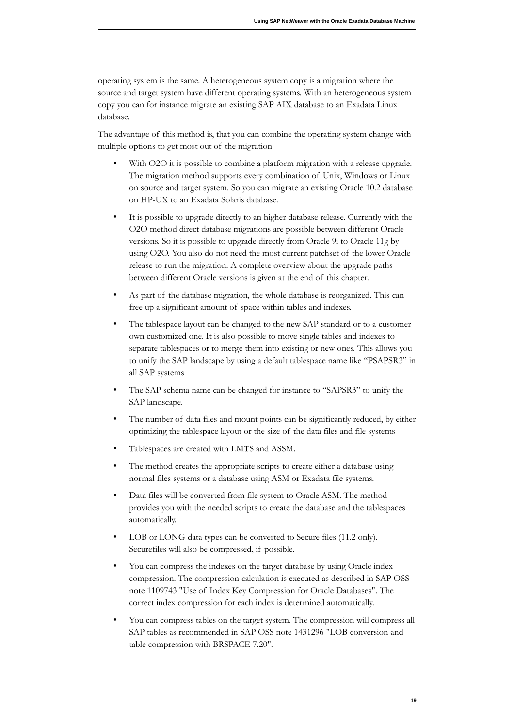operating system is the same. A heterogeneous system copy is a migration where the source and target system have different operating systems. With an heterogeneous system copy you can for instance migrate an existing SAP AIX database to an Exadata Linux database.

The advantage of this method is, that you can combine the operating system change with multiple options to get most out of the migration:

- With O2O it is possible to combine a platform migration with a release upgrade. The migration method supports every combination of Unix, Windows or Linux on source and target system. So you can migrate an existing Oracle 10.2 database on HP-UX to an Exadata Solaris database.
- It is possible to upgrade directly to an higher database release. Currently with the O2O method direct database migrations are possible between different Oracle versions. So it is possible to upgrade directly from Oracle 9i to Oracle 11g by using O2O. You also do not need the most current patchset of the lower Oracle release to run the migration. A complete overview about the upgrade paths between different Oracle versions is given at the end of this chapter.
- As part of the database migration, the whole database is reorganized. This can free up a significant amount of space within tables and indexes.
- The tablespace layout can be changed to the new SAP standard or to a customer own customized one. It is also possible to move single tables and indexes to separate tablespaces or to merge them into existing or new ones. This allows you to unify the SAP landscape by using a default tablespace name like "PSAPSR3" in all SAP systems
- The SAP schema name can be changed for instance to "SAPSR3" to unify the SAP landscape.
- The number of data files and mount points can be significantly reduced, by either optimizing the tablespace layout or the size of the data files and file systems
- Tablespaces are created with LMTS and ASSM.
- The method creates the appropriate scripts to create either a database using normal files systems or a database using ASM or Exadata file systems.
- Data files will be converted from file system to Oracle ASM. The method provides you with the needed scripts to create the database and the tablespaces automatically.
- LOB or LONG data types can be converted to Secure files (11.2 only). Securefiles will also be compressed, if possible.
- You can compress the indexes on the target database by using Oracle index compression. The compression calculation is executed as described in SAP OSS note 1109743 "Use of Index Key Compression for Oracle Databases". The correct index compression for each index is determined automatically.
- You can compress tables on the target system. The compression will compress all SAP tables as recommended in SAP OSS note 1431296 "LOB conversion and table compression with BRSPACE 7.20".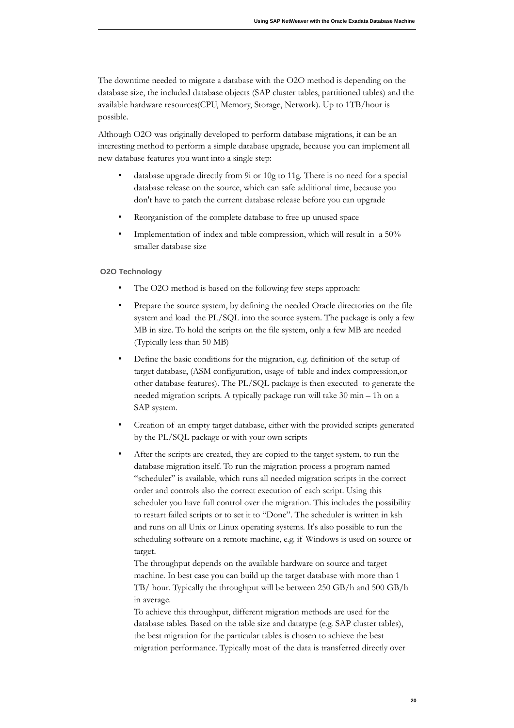The downtime needed to migrate a database with the O2O method is depending on the database size, the included database objects (SAP cluster tables, partitioned tables) and the available hardware resources(CPU, Memory, Storage, Network). Up to 1TB/hour is possible.

Although O2O was originally developed to perform database migrations, it can be an interesting method to perform a simple database upgrade, because you can implement all new database features you want into a single step:

- database upgrade directly from 9i or 10g to 11g. There is no need for a special database release on the source, which can safe additional time, because you don't have to patch the current database release before you can upgrade
- Reorganistion of the complete database to free up unused space
- Implementation of index and table compression, which will result in a 50% smaller database size

#### **O2O Technology**

- The O2O method is based on the following few steps approach:
- Prepare the source system, by defining the needed Oracle directories on the file system and load the PL/SQL into the source system. The package is only a few MB in size. To hold the scripts on the file system, only a few MB are needed (Typically less than 50 MB)
- Define the basic conditions for the migration, e.g. definition of the setup of target database, (ASM configuration, usage of table and index compression, or other database features). The PL/SQL package is then executed to generate the needed migration scripts. A typically package run will take 30 min - 1h on a SAP system.
- Creation of an empty target database, either with the provided scripts generated by the PL/SQL package or with your own scripts
- After the scripts are created, they are copied to the target system, to run the database migration itself. To run the migration process a program named "scheduler" is available, which runs all needed migration scripts in the correct order and controls also the correct execution of each script. Using this scheduler you have full control over the migration. This includes the possibility to restart failed scripts or to set it to "Done". The scheduler is written in ksh and runs on all Unix or Linux operating systems. It's also possible to run the scheduling software on a remote machine, e.g. if Windows is used on source or target.

The throughput depends on the available hardware on source and target machine. In best case you can build up the target database with more than 1 TB/ hour. Typically the throughput will be between 250 GB/h and 500 GB/h in average.

To achieve this throughput, different migration methods are used for the database tables. Based on the table size and datatype (e.g. SAP cluster tables), the best migration for the particular tables is chosen to achieve the best migration performance. Typically most of the data is transferred directly over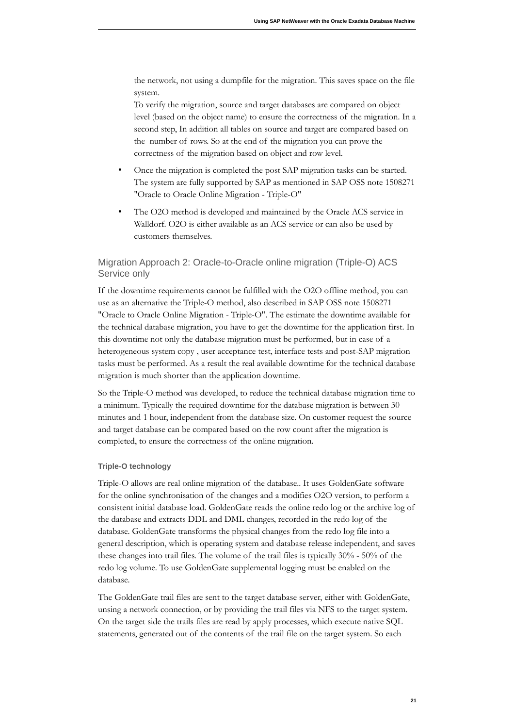the network, not using a dumpfile for the migration. This saves space on the file system.

To verify the migration, source and target databases are compared on object level (based on the object name) to ensure the correctness of the migration. In a second step, In addition all tables on source and target are compared based on the number of rows. So at the end of the migration you can prove the correctness of the migration based on object and row level.

- Once the migration is completed the post SAP migration tasks can be started. The system are fully supported by SAP as mentioned in SAP OSS note 1508271 "Oracle to Oracle Online Migration - Triple-O"
- The O2O method is developed and maintained by the Oracle ACS service in Walldorf. O2O is either available as an ACS service or can also be used by customers themselves.

#### <span id="page-20-0"></span> Migration Approach 2: Oracle-to-Oracle online migration (Triple-O) ACS Service only

If the downtime requirements cannot be fulfilled with the O2O offline method, you can use as an alternative the Triple-O method, also described in SAP OSS note 1508271 "Oracle to Oracle Online Migration - Triple-O". The estimate the downtime available for the technical database migration, you have to get the downtime for the application first. In this downtime not only the database migration must be performed, but in case of a heterogeneous system copy, user acceptance test, interface tests and post-SAP migration tasks must be performed. As a result the real available downtime for the technical database migration is much shorter than the application downtime.

So the Triple-O method was developed, to reduce the technical database migration time to a minimum. Typically the required downtime for the database migration is between 30 minutes and 1 hour, independent from the database size. On customer request the source and target database can be compared based on the row count after the migration is completed, to ensure the correctness of the online migration.

#### **Triple-O technology**

Triple-O allows are real online migration of the database.. It uses GoldenGate software for the online synchronisation of the changes and a modifies O2O version, to perform a consistent initial database load. GoldenGate reads the online redo log or the archive log of the database and extracts DDL and DML changes, recorded in the redo log of the database. GoldenGate transforms the physical changes from the redo log file into a general description, which is operating system and database release independent, and saves these changes into trail files. The volume of the trail files is typically  $30\%$  -  $50\%$  of the redo log volume. To use GoldenGate supplemental logging must be enabled on the database.

The GoldenGate trail files are sent to the target database server, either with GoldenGate, unsing a network connection, or by providing the trail files via NFS to the target system. On the target side the trails files are read by apply processes, which execute native SQL statements, generated out of the contents of the trail file on the target system. So each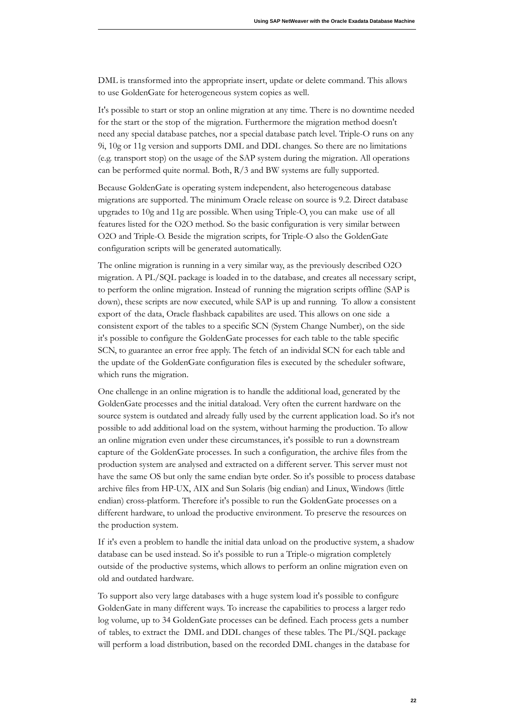DML is transformed into the appropriate insert, update or delete command. This allows to use GoldenGate for heterogeneous system copies as well.

It's possible to start or stop an online migration at any time. There is no downtime needed for the start or the stop of the migration. Furthermore the migration method doesn't need any special database patches, nor a special database patch level. Triple-O runs on any 9i, 10g or 11g version and supports DML and DDL changes. So there are no limitations (e.g. transport stop) on the usage of the SAP system during the migration. All operations can be performed quite normal. Both,  $R/3$  and BW systems are fully supported.

Because GoldenGate is operating system independent, also heterogeneous database migrations are supported. The minimum Oracle release on source is 9.2. Direct database upgrades to 10g and 11g are possible. When using Triple-O, you can make use of all features listed for the O2O method. So the basic configuration is very similar between O2O and Triple-O. Beside the migration scripts, for Triple-O also the GoldenGate configuration scripts will be generated automatically.

The online migration is running in a very similar way, as the previously described O2O migration. A PL/SQL package is loaded in to the database, and creates all necessary script, to perform the online migration. Instead of running the migration scripts offline (SAP is down), these scripts are now executed, while SAP is up and running. To allow a consistent export of the data, Oracle flashback capabilites are used. This allows on one side a consistent export of the tables to a specific SCN (System Change Number), on the side it's possible to configure the GoldenGate processes for each table to the table specific SCN, to guarantee an error free apply. The fetch of an individal SCN for each table and the update of the GoldenGate configuration files is executed by the scheduler software, which runs the migration.

One challenge in an online migration is to handle the additional load, generated by the GoldenGate processes and the initial dataload. Very often the current hardware on the source system is outdated and already fully used by the current application load. So it's not possible to add additional load on the system, without harming the production. To allow an online migration even under these circumstances, it's possible to run a downstream capture of the GoldenGate processes. In such a configuration, the archive files from the production system are analysed and extracted on a different server. This server must not have the same OS but only the same endian byte order. So it's possible to process database archive files from HP-UX, AIX and Sun Solaris (big endian) and Linux, Windows (little endian) cross-platform. Therefore it's possible to run the GoldenGate processes on a different hardware, to unload the productive environment. To preserve the resources on the production system.

If it's even a problem to handle the initial data unload on the productive system, a shadow database can be used instead. So it's possible to run a Triple-o migration completely outside of the productive systems, which allows to perform an online migration even on old and outdated hardware.

To support also very large databases with a huge system load it's possible to configure GoldenGate in many different ways. To increase the capabilities to process a larger redo log volume, up to 34 GoldenGate processes can be defined. Each process gets a number of tables, to extract the DML and DDL changes of these tables. The PL/SQL package will perform a load distribution, based on the recorded DML changes in the database for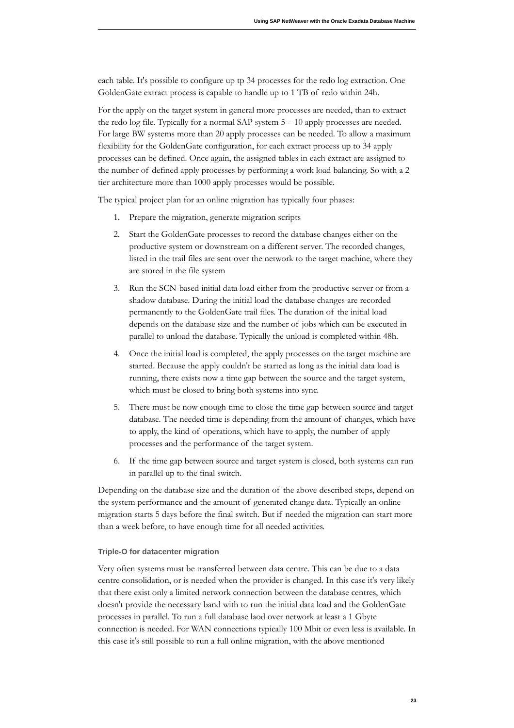each table. It's possible to configure up tp 34 processes for the redo log extraction. One GoldenGate extract process is capable to handle up to 1 TB of redo within 24h.

For the apply on the target system in general more processes are needed, than to extract the redo log file. Typically for a normal SAP system  $5 - 10$  apply processes are needed. For large BW systems more than 20 apply processes can be needed. To allow a maximum flexibility for the GoldenGate configuration, for each extract process up to 34 apply processes can be defined. Once again, the assigned tables in each extract are assigned to the number of defined apply processes by performing a work load balancing. So with a 2 tier architecture more than 1000 apply processes would be possible.

The typical project plan for an online migration has typically four phases:

- 1. Prepare the migration, generate migration scripts
- 2. Start the GoldenGate processes to record the database changes either on the productive system or downstream on a different server. The recorded changes, listed in the trail files are sent over the network to the target machine, where they are stored in the file system
- 3. Run the SCN-based initial data load either from the productive server or from a shadow database. During the initial load the database changes are recorded permanently to the GoldenGate trail files. The duration of the initial load depends on the database size and the number of jobs which can be executed in parallel to unload the database. Typically the unload is completed within 48h.
- 4. Once the initial load is completed, the apply processes on the target machine are started. Because the apply couldn't be started as long as the initial data load is running, there exists now a time gap between the source and the target system, which must be closed to bring both systems into sync.
- 5. There must be now enough time to close the time gap between source and target database. The needed time is depending from the amount of changes, which have to apply, the kind of operations, which have to apply, the number of apply processes and the performance of the target system.
- 6. If the time gap between source and target system is closed, both systems can run in parallel up to the final switch.

Depending on the database size and the duration of the above described steps, depend on the system performance and the amount of generated change data. Typically an online migration starts 5 days before the final switch. But if needed the migration can start more than a week before, to have enough time for all needed activities.

#### **Triple-O for datacenter migration**

Very often systems must be transferred between data centre. This can be due to a data centre consolidation, or is needed when the provider is changed. In this case it's very likely that there exist only a limited network connection between the database centres, which doesn't provide the necessary band with to run the initial data load and the GoldenGate processes in parallel. To run a full database laod over network at least a 1 Gbyte connection is needed. For WAN connections typically 100 Mbit or even less is available. In this case it's still possible to run a full online migration, with the above mentioned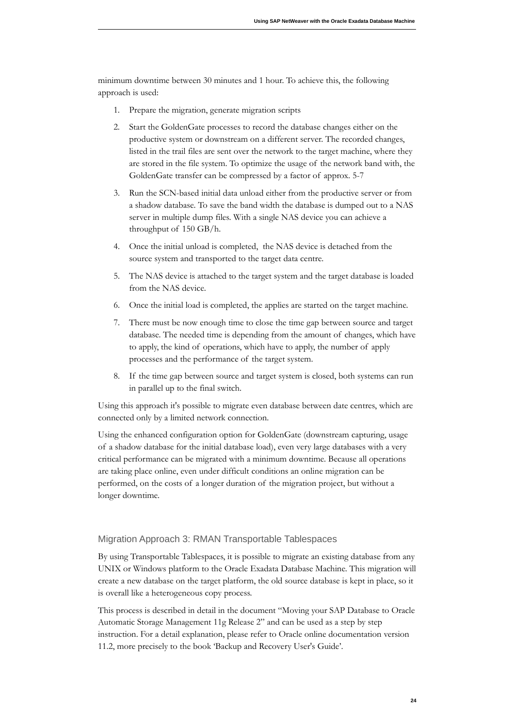minimum downtime between 30 minutes and 1 hour. To achieve this, the following approach is used:

- 1. Prepare the migration, generate migration scripts
- 2. Start the GoldenGate processes to record the database changes either on the productive system or downstream on a different server. The recorded changes, listed in the trail files are sent over the network to the target machine, where they are stored in the file system. To optimize the usage of the network band with, the GoldenGate transfer can be compressed by a factor of approx. 5-7
- 3. Run the SCN-based initial data unload either from the productive server or from a shadow database. To save the band width the database is dumped out to a NAS server in multiple dump files. With a single NAS device you can achieve a throughput of 150 GB/h.
- 4. Once the initial unload is completed, the NAS device is detached from the source system and transported to the target data centre.
- 5. The NAS device is attached to the target system and the target database is loaded from the NAS device.
- 6. Once the initial load is completed, the applies are started on the target machine.
- 7. There must be now enough time to close the time gap between source and target database. The needed time is depending from the amount of changes, which have to apply, the kind of operations, which have to apply, the number of apply processes and the performance of the target system.
- 8. If the time gap between source and target system is closed, both systems can run in parallel up to the final switch.

Using this approach it's possible to migrate even database between date centres, which are connected only by a limited network connection.

Using the enhanced configuration option for GoldenGate (downstream capturing, usage of a shadow database for the initial database load), even very large databases with a very critical performance can be migrated with a minimum downtime. Because all operations are taking place online, even under difficult conditions an online migration can be performed, on the costs of a longer duration of the migration project, but without a longer downtime.

#### <span id="page-23-0"></span>Migration Approach 3: RMAN Transportable Tablespaces

By using Transportable Tablespaces, it is possible to migrate an existing database from any UNIX or Windows platform to the Oracle Exadata Database Machine. This migration will create a new database on the target platform, the old source database is kept in place, so it is overall like a heterogeneous copy process.

This process is described in detail in the document "Moving your SAP Database to Oracle Automatic Storage Management 11g Release 2" and can be used as a step by step instruction. For a detail explanation, please refer to Oracle online documentation version 11.2, more precisely to the book 'Backup and Recovery User's Guide'.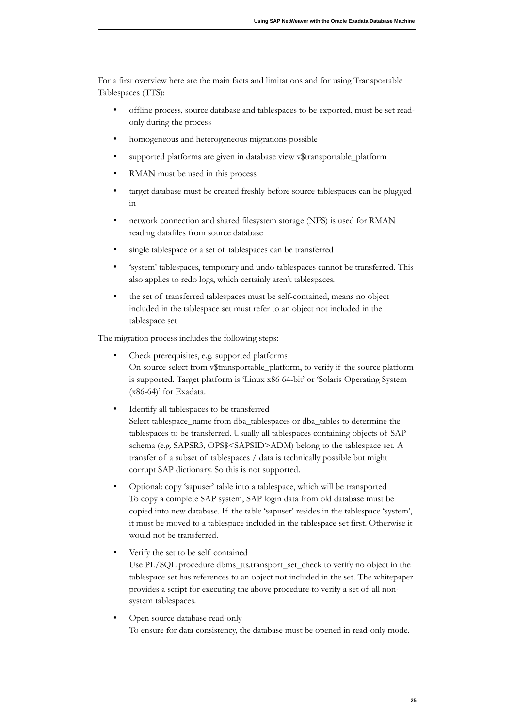For a first overview here are the main facts and limitations and for using Transportable Tablespaces (TTS):

- offline process, source database and tablespaces to be exported, must be set readonly during the process
- homogeneous and heterogeneous migrations possible
- supported platforms are given in database view v\$transportable\_platform
- RMAN must be used in this process
- target database must be created freshly before source tablespaces can be plugged in
- network connection and shared filesystem storage (NFS) is used for RMAN reading datafiles from source database
- single tablespace or a set of tablespaces can be transferred
- 'system' tablespaces, temporary and undo tablespaces cannot be transferred. This also applies to redo logs, which certainly aren't tablespaces.
- the set of transferred tablespaces must be self-contained, means no object included in the tablespace set must refer to an object not included in the tablespace set

The migration process includes the following steps:

- On source select from v\$transportable\_platform, to verify if the source platform is supported. Target platform is 'Linux x86 64-bit' or 'Solaris Operating System Check prerequisites, e.g. supported platforms  $(x86-64)$ ' for Exadata.
- Identify all tablespaces to be transferred Select tablespace\_name from dba\_tablespaces or dba\_tables to determine the tablespaces to be transferred. Usually all tablespaces containing objects of SAP schema (e.g. SAPSR3, OPS\$<SAPSID>ADM) belong to the tablespace set. A transfer of a subset of tablespaces / data is technically possible but might corrupt SAP dictionary. So this is not supported.
- Optional: copy 'sapuser' table into a tablespace, which will be transported To copy a complete SAP system, SAP login data from old database must be copied into new database. If the table 'sapuser' resides in the tablespace 'system', it must be moved to a tablespace included in the tablespace set first. Otherwise it would not be transferred.
- Verify the set to be self contained Use PL/SQL procedure dbms\_tts.transport\_set\_check to verify no object in the tablespace set has references to an object not included in the set. The whitepaper provides a script for executing the above procedure to verify a set of all nonsystem tablespaces.
- Open source database read-only To ensure for data consistency, the database must be opened in read-only mode.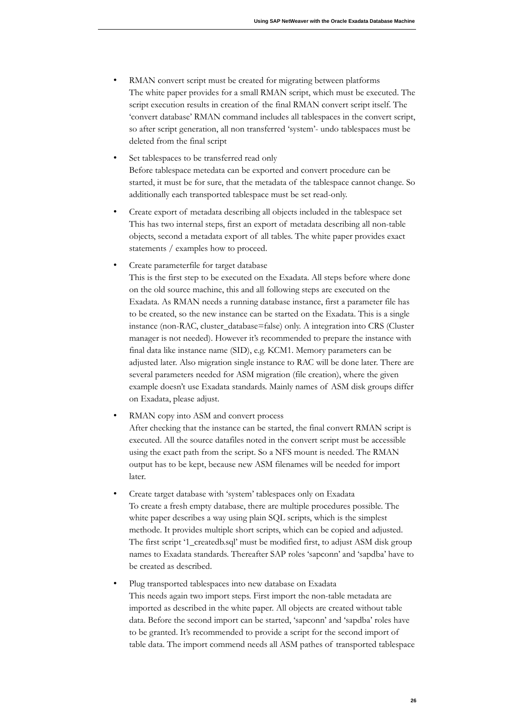- RMAN convert script must be created for migrating between platforms The white paper provides for a small RMAN script, which must be executed. The script execution results in creation of the final RMAN convert script itself. The 'convert database' RMAN command includes all tablespaces in the convert script, so after script generation, all non transferred 'system'- undo tablespaces must be deleted from the final script
- Set tablespaces to be transferred read only Before tablespace metedata can be exported and convert procedure can be started, it must be for sure, that the metadata of the tablespace cannot change. So additionally each transported tablespace must be set read-only.
- Create export of metadata describing all objects included in the tablespace set This has two internal steps, first an export of metadata describing all non-table objects, second a metadata export of all tables. The white paper provides exact statements / examples how to proceed.
- Create parameterfile for target database

This is the first step to be executed on the Exadata. All steps before where done on the old source machine, this and all following steps are executed on the Exadata. As RMAN needs a running database instance, first a parameter file has to be created, so the new instance can be started on the Exadata. This is a single instance (non-RAC, cluster\_database=false) only. A integration into CRS (Cluster manager is not needed). However it's recommended to prepare the instance with final data like instance name (SID), e.g. KCM1. Memory parameters can be adjusted later. Also migration single instance to RAC will be done later. There are several parameters needed for ASM migration (file creation), where the given example doesn't use Exadata standards. Mainly names of ASM disk groups differ n Exadata, please adjust.

- RMAN copy into ASM and convert process After checking that the instance can be started, the final convert RMAN script is executed. All the source datafiles noted in the convert script must be accessible using the exact path from the script. So a NFS mount is needed. The RMAN output has to be kept, because new ASM filenames will be needed for import later.
- Create target database with 'system' tablespaces only on Exadata To create a fresh empty database, there are multiple procedures possible. The white paper describes a way using plain SQL scripts, which is the simplest methode. It provides multiple short scripts, which can be copied and adjusted. The first script '1\_createdb.sql' must be modified first, to adjust ASM disk group names to Exadata standards. Thereafter SAP roles 'sapconn' and 'sapdba' have to be created as described.
- Plug transported tablespaces into new database on Exadata This needs again two import steps. First import the non-table metadata are imported as described in the white paper. All objects are created without table data. Before the second import can be started, 'sapconn' and 'sapdba' roles have to be granted. It's recommended to provide a script for the second import of table data. The import commend needs all ASM pathes of transported tablespace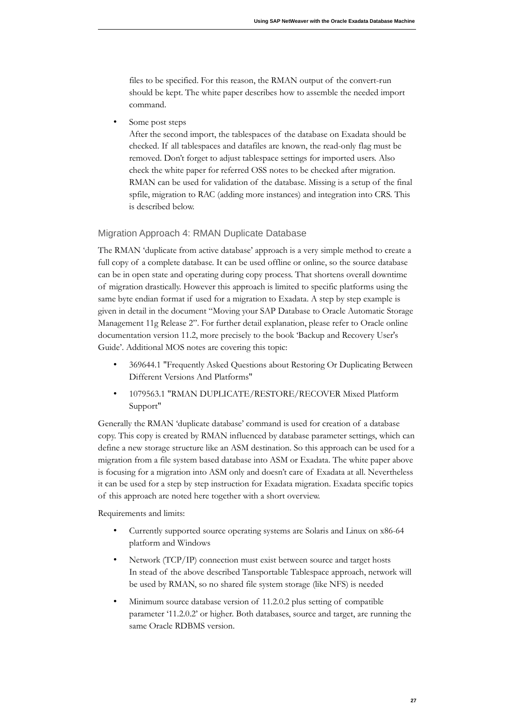files to be specified. For this reason, the RMAN output of the convert-run should be kept. The white paper describes how to assemble the needed import command.

• Some post steps

After the second import, the tablespaces of the database on Exadata should be checked. If all tablespaces and datafiles are known, the read-only flag must be removed. Don't forget to adjust tablespace settings for imported users. Also check the white paper for referred OSS notes to be checked after migration. RMAN can be used for validation of the database. Missing is a setup of the final spfile, migration to RAC (adding more instances) and integration into CRS. This is described below.

#### <span id="page-26-0"></span>Migration Approach 4: RMAN Duplicate Database

The RMAN 'duplicate from active database' approach is a very simple method to create a full copy of a complete database. It can be used offline or online, so the source database can be in open state and operating during copy process. That shortens overall downtime of migration drastically. However this approach is limited to specific platforms using the same byte endian format if used for a migration to Exadata. A step by step example is given in detail in the document "Moving your SAP Database to Oracle Automatic Storage Management 11g Release 2". For further detail explanation, please refer to Oracle online documentation version 11.2, more precisely to the book 'Backup and Recovery User's Guide'. Additional MOS notes are covering this topic:

- 369644.1 "Frequently Asked Questions about Restoring Or Duplicating Between Different Versions And Platforms"
- 1079563.1 "RMAN DUPLICATE/RESTORE/RECOVER Mixed Platform Support"

Generally the RMAN 'duplicate database' command is used for creation of a database copy. This copy is created by RMAN influenced by database parameter settings, which can define a new storage structure like an ASM destination. So this approach can be used for a migration from a file system based database into ASM or Exadata. The white paper above is focusing for a migration into ASM only and doesn't care of Exadata at all. Nevertheless it can be used for a step by step instruction for Exadata migration. Exadata specific topics of this approach are noted here together with a short overview.

Requirements and limits:

- Currently supported source operating systems are Solaris and Linux on x86-64 platform and Windows
- Network (TCP/IP) connection must exist between source and target hosts In stead of the above described Tansportable Tablespace approach, network will be used by RMAN, so no shared file system storage (like NFS) is needed
- Minimum source database version of 11.2.0.2 plus setting of compatible parameter '11.2.0.2' or higher. Both databases, source and target, are running the same Oracle RDBMS version.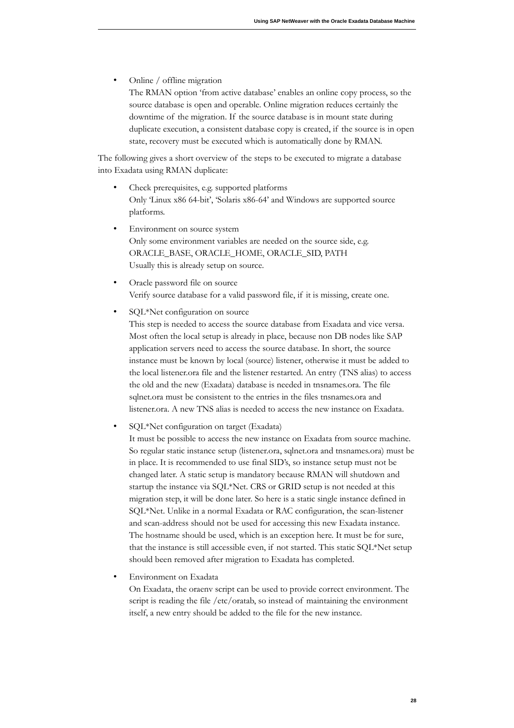• Online / offline migration

The RMAN option 'from active database' enables an online copy process, so the source database is open and operable. Online migration reduces certainly the downtime of the migration. If the source database is in mount state during duplicate execution, a consistent database copy is created, if the source is in open state, recovery must be executed which is automatically done by RMAN.

The following gives a short overview of the steps to be executed to migrate a database into Exadata using RMAN duplicate:

- Only 'Linux x86 64-bit', 'Solaris x86-64' and Windows are supported source Check prerequisites, e.g. supported platforms platforms.
- Environment on source system Only some environment variables are needed on the source side, e.g. Usually this is already setup on source. ORACLE\_BASE, ORACLE\_HOME, ORACLE\_SID, PATH
- Oracle password file on source Verify source database for a valid password file, if it is missing, create one.
- SQL\*Net configuration on source

This step is needed to access the source database from Exadata and vice versa. Most often the local setup is already in place, because non DB nodes like SAP application servers need to access the source database. In short, the source instance must be known by local (source) listener, otherwise it must be added to the local listener. ora file and the listener restarted. An entry (TNS alias) to access the old and the new (Exadata) database is needed in tnsnames. ora. The file sqlnet.ora must be consistent to the entries in the files tnsnames.ora and listener.ora. A new TNS alias is needed to access the new instance on Exadata.

• SQL\*Net configuration on target (Exadata)

It must be possible to access the new instance on Exadata from source machine. So regular static instance setup (listener.ora, sqlnet.ora and tnsnames.ora) must be in place. It is recommended to use final SID's, so instance setup must not be changed later. A static setup is mandatory because RMAN will shutdown and startup the instance via SQL\*Net. CRS or GRID setup is not needed at this migration step, it will be done later. So here is a static single instance defined in SQL\*Net. Unlike in a normal Exadata or RAC configuration, the scan-listener and scan-address should not be used for accessing this new Exadata instance. The hostname should be used, which is an exception here. It must be for sure, that the instance is still accessible even, if not started. This static SQL\*Net setup should been removed after migration to Exadata has completed.

• Environment on Exadata

On Exadata, the oraenv script can be used to provide correct environment. The script is reading the file /etc/ oratab, so instead of maintaining the environment itself, a new entry should be added to the file for the new instance.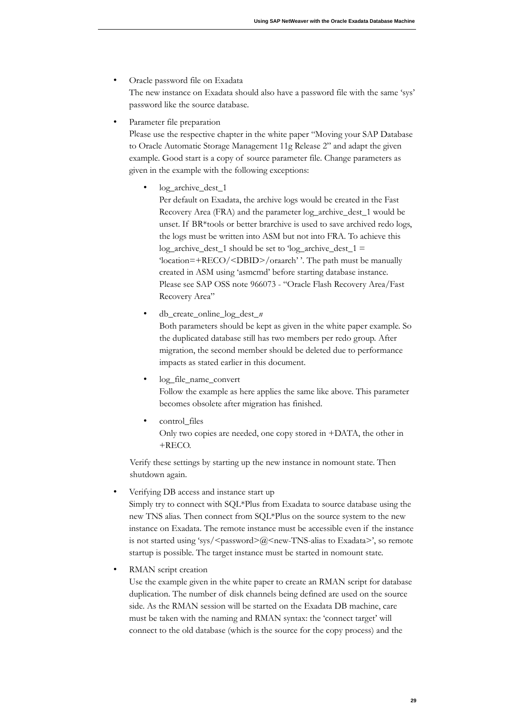• Oracle password file on Exadata

The new instance on Exadata should also have a password file with the same 'sys' password like the source database.

Parameter file preparation

Please use the respective chapter in the white paper "Moving your SAP Database to Oracle Automatic Storage Management 11g Release 2" and adapt the given example. Good start is a copy of source parameter file. Change parameters as given in the example with the following exceptions:

log\_archive\_dest\_1

Per default on Exadata, the archive logs would be created in the Fast Recovery Area (FRA) and the parameter log\_archive\_dest\_1 would be unset. If BR\*tools or better brarchive is used to save archived redo logs, the logs must be written into ASM but not into FRA. To achieve this  $log_2$ archive\_dest\_1 should be set to 'log\_archive\_dest\_1 = 'location=+RECO/<DBID>/oraarch''. The path must be manually created in ASM using 'asmcmd' before starting database instance. Please see SAP OSS note 966073 - "Oracle Flash Recovery Area/Fast Recovery Area"

- Both parameters should be kept as given in the white paper example. So the duplicated database still has two members per redo group. After migration, the second member should be deleted due to performance impacts as stated earlier in this document. • db\_create\_ nline\_l g\_dest\_*n*
- Follow the example as here applies the same like above. This parameter becomes obsolete after migration has finished. log\_file\_name\_convert
- Only two copies are needed, one copy stored in +DATA, the other in control\_files  $+RECO.$

Verify these settings by starting up the new instance in nomount state. Then shutdown again.

• Verifying DB access and instance start up

Simply try to connect with SQL\*Plus from Exadata to source database using the new TNS alias. Then connect from SQL\*Plus on the source system to the new instance on Exadata. The remote instance must be accessible even if the instance is not started using 'sys/<password>@<new-TNS-alias to Exadata>', so remote startup is possible. The target instance must be started in nomount state.

RMAN script creation

Use the example given in the white paper to create an RMAN script for database duplication. The number of disk channels being defined are used on the source side. As the RMAN session will be started on the Exadata DB machine, care must be taken with the naming and RMAN syntax: the 'connect target' will connect to the old database (which is the source for the copy process) and the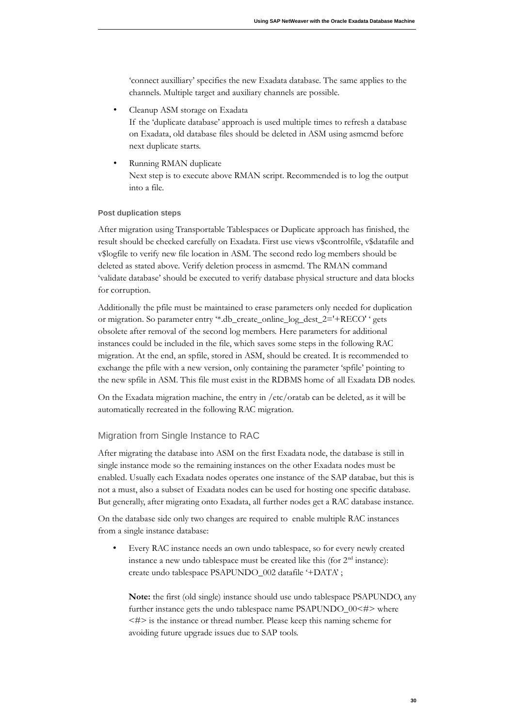'connect auxilliary' specifies the new Exadata database. The same applies to the channels. Multiple target and auxiliary channels are possible.

• Cleanup ASM storage on Exadata

If the 'duplicate database' approach is used multiple times to refresh a database on Exadata, old database files should be deleted in ASM using asmcmd before next duplicate starts.

Next step is to execute above RMAN script. Recommended is to log the output into a file. Running RMAN duplicate

#### **Post duplication steps**

After migration using Transportable Tablespaces or Duplicate approach has finished, the result should be checked carefully on Exadata. First use views v\$controlfile, v\$datafile and v\$logfile to verify new file location in ASM. The second redo log members should be deleted as stated above. Verify deletion process in asmcmd. The RMAN command 'validate database' should be executed to verify database physical structure and data blocks for corruption.

Additionally the pfile must be maintained to erase parameters only needed for duplication or migration. So parameter entry '\*.db\_create\_online\_log\_dest\_2='+RECO' ' gets obsolete after removal of the second log members. Here parameters for additional instances could be included in the file, which saves some steps in the following RAC migration. At the end, an spfile, stored in ASM, should be created. It is recommended to exchange the pfile with a new version, only containing the parameter 'spfile' pointing to the new spfile in ASM. This file must exist in the RDBMS home of all Exadata DB nodes.

On the Exadata migration machine, the entry in /etc/oratab can be deleted, as it will be automatically recreated in the following RAC migration.

#### <span id="page-29-0"></span>Migration from Single Instance to RAC

After migrating the database into ASM on the first Exadata node, the database is still in single instance mode so the remaining instances on the other Exadata nodes must be enabled. Usually each Exadata nodes operates one instance of the SAP databae, but this is not a must, also a subset of Exadata nodes can be used for hosting one specific database. But generally, after migrating onto Exadata, all further nodes get a RAC database instance.

On the database side only two changes are required to enable multiple RAC instances from a single instance database:

• Every RAC instance needs an own undo tablespace, so for every newly created instance a new undo tablespace must be created like this (for  $2<sup>nd</sup>$  instance): create undo tablespace PSAPUNDO\_002 datafile '+DATA' ;

Note: the first (old single) instance should use undo tablespace PSAPUNDO, any further instance gets the undo tablespace name PSAPUNDO\_00<#> where  $\leq \neq$  is the instance or thread number. Please keep this naming scheme for avoiding future upgrade issues due to SAP tools.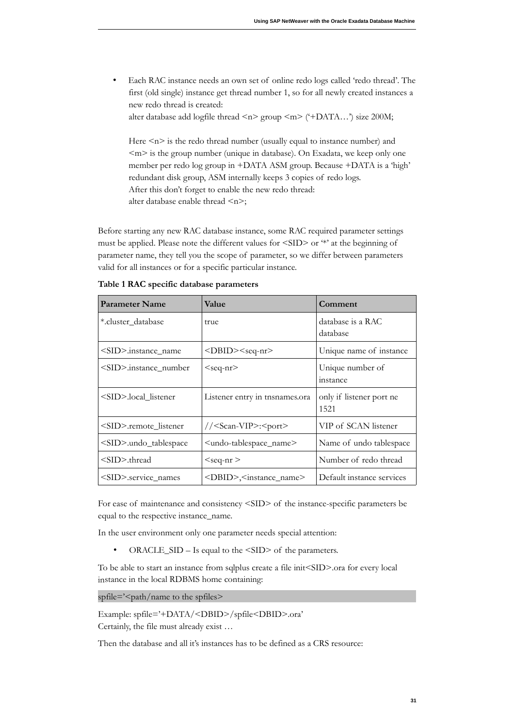• Each RAC instance needs an own set of online redo logs called 'redo thread'. The first (old single) instance get thread number 1, so for all newly created instances a new redo thread is created:

alter database add logfile thread  $\langle n \rangle$  group  $\langle m \rangle$  ('+DATA...') size 200M;

Here  $\leq n$  is the redo thread number (usually equal to instance number) and  $\leq m$  is the group number (unique in database). On Exadata, we keep only one member per redo log group in +DATA ASM group. Because +DATA is a 'high' redundant disk group, ASM internally keeps 3 copies of redo logs. After this don't forget to enable the new redo thread: alter database enable thread <n>;

Before starting any new RAC database instance, some RAC required parameter settings must be applied. Please note the different values for <SID> or \*\* at the beginning of parameter name, they tell you the scope of parameter, so we differ between parameters valid for all instances or for a specific particular instance.

| <b>Parameter Name</b>       | Value                                         | Comment                          |
|-----------------------------|-----------------------------------------------|----------------------------------|
| *.cluster_database          | true                                          | database is a RAC<br>database    |
| <sid>.instance_name</sid>   | <dbid><seq-nr></seq-nr></dbid>                | Unique name of instance          |
| <sid>.instance_number</sid> | $<$ seq-nr $>$                                | Unique number of<br>instance     |
| <sid>.local listener</sid>  | Listener entry in tnsnames.ora                | only if listener port ne<br>1521 |
| <sid>.remote listener</sid> | // <scan-vip>:<port></port></scan-vip>        | VIP of SCAN listener             |
| <sid>.undo_tablespace</sid> | <undo-tablespace_name></undo-tablespace_name> | Name of undo tablespace          |
| $<\!\!SID\!\!>$ thread      | $<$ seq-nr $>$                                | Number of redo thread            |
| <sid> service names</sid>   | <dbid>,<instance_name></instance_name></dbid> | Default instance services        |

Table 1 RAC specific database parameters

For ease of maintenance and consistency <SID> of the instance-specific parameters be equal to the respective instance\_name.

In the user environment only one parameter needs special attention:

• ORACLE\_SID – Is equal to the  $\text{SID}$  of the parameters.

To be able to start an instance from sqlplus create a file init<SID>.ora for every local instance in the local RDBMS home containing:

spfile='<path/name to the spfiles>

 Certainly, the file must already exist … Example: spfile='+DATA/<DBID>/spfile<DBID>.ora'

Then the database and all it's instances has to be defined as a CRS resource: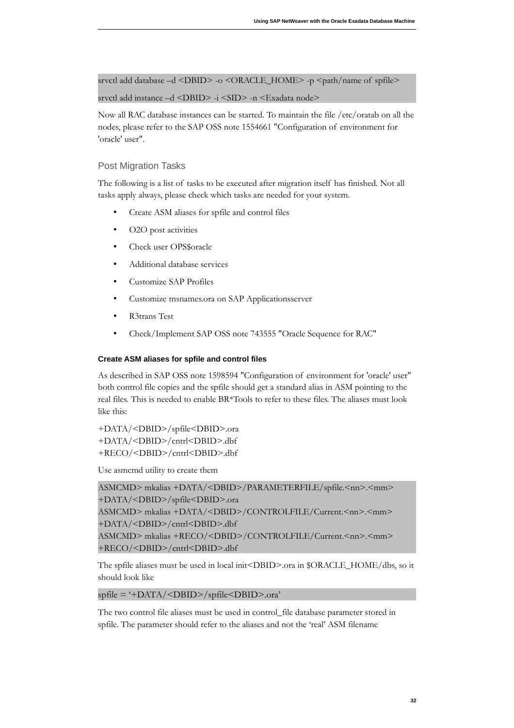srvctl add database –d <DBID> -o <ORACLE\_HOME> -p <path/name of spfile>

srvctl add instance –d <DBID> -i <SID> -n <Exadata node>

Now all RAC database instances can be started. To maintain the file /etc/oratab on all the nodes, please refer to the SAP OSS note 1554661 "Configuration of environment for 'oracle' user".

#### <span id="page-31-0"></span>Post Migration Tasks

The following is a list of tasks to be executed after migration itself has finished. Not all tasks apply always, please check which tasks are needed for your system.

- Create ASM aliases for spfile and control files
- O2O post activities
- Check user OPS\$ oracle
- Additional database services
- Customize SAP Profiles
- Customize tnsnames.ora on SAP Applicationsserver
- R3trans Test
- Check/Implement SAP OSS note 743555 "Oracle Sequence for RAC"

#### **Create ASM aliases for spfile and control files**

As described in SAP OSS note 1598594 "Configuration of environment for 'oracle' user" both control file copies and the spfile should get a standard alias in ASM pointing to the real files. This is needed to enable BR\*Tools to refer to these files. The aliases must look like this:

+DATA/<DBID>/spfile<DBID>.ora +DATA/<DBID>/cntrl<DBID>.dbf +RECO/<DBID>/cntrl<DBID>.dbf

Use asmcmd utility to create them

```
ASMCMD> mkalias +DATA/<DBID>/PARAMETERFILE/spfile.<nn>.<mm> 
+DATA/<DBID>/spfile<DBID>.ora
ASMCMD> mkalias +DATA/<DBID>/CONTROLFILE/Current.<nn>.<mm> 
+DATA/<DBID>/cntrl<DBID>.dbf 
ASMCMD> mkalias +RECO/<DBID>/CONTROLFILE/Current.<nn>.<mm> 
+RECO/<DBID>/cntrl<DBID>.dbf
```
The spfile aliases must be used in local init<DBID>.ora in \$ORACLE\_HOME/dbs, so it should look like

spfile = '+DATA/<DBID>/spfile<DBID>. ra'

The two control file aliases must be used in control\_file database parameter stored in spfile. The parameter should refer to the aliases and not the 'real' ASM filename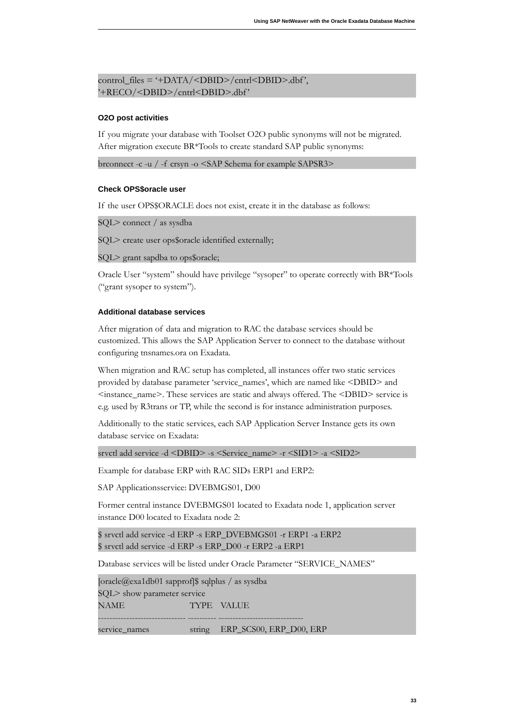```
control_files = '+DATA/<DBID>/cntrl<DBID>.dbf','+RECO/<DBID>/cntrl<DBID>.dbf '
```
#### **O2O post activities**

If you migrate your database with Toolset O2O public synonyms will not be migrated. After migration execute BR\*Tools to create standard SAP public synonyms:

brconnect -c -u / -f crsyn -o <SAP Schema for example SAPSR3>

#### **Check OPS\$oracle user**

If the user OPS\$ORACLE does not exist, create it in the database as follows:

SQL> c nnect / as sysdba

SQL> create user ops\$oracle identified externally;

SQL> grant sapdba to ops\$ oracle;

Oracle User "system" should have privilege "sysoper" to operate correctly with BR\*Tools ("grant sysoper to system").

#### **Additional database services**

After migration of data and migration to RAC the database services should be customized. This allows the SAP Application Server to connect to the database without configuring tnsnames.ora on Exadata.

When migration and RAC setup has completed, all instances offer two static services provided by database parameter 'service\_names', which are named like <DBID> and <instance\_name>. These services are static and always ffered. The <DBID> service is e.g. used by R3trans or TP, while the second is for instance administration purposes.

Additionally to the static services, each SAP Application Server Instance gets its own database service on Exadata:

srvctl add service -d <DBID> -s <Service\_name> -r <SID1> -a <SID2>

Example for database ERP with RAC SIDs ERP1 and ERP2:

SAP Applicationsservice: DVEBMGS01, D00

Former central instance DVEBMGS01 located to Exadata node 1, application server instance D00 located to Exadata node 2:

 \$ srvctl add service -d ERP -s ERP\_DVEBMGS01 -r ERP1 -a ERP2 \$ srvctl add service -d ERP -s ERP\_D00 -r ERP2 -a ERP1

Database services will be listed under Oracle Parameter "SERVICE\_NAMES"

[oracle@exa1db01 sapprof]\$ sqlplus / as sysdba ------------------------------- ---------- ------------------------------ SQL> show parameter service NAME TYPE VALUE

service\_names string ERP\_SCS00, ERP\_D00, ERP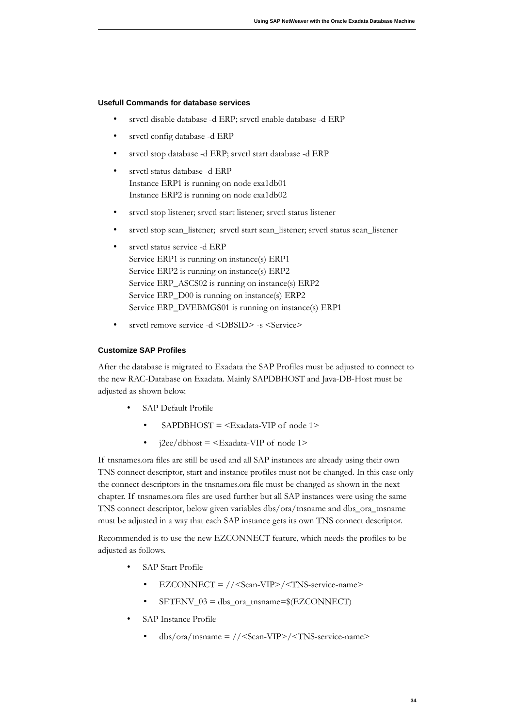#### **Usefull Commands for database services**

- srvctl disable database -d ERP; srvctl enable database -d ERP
- srvctl config database -d ERP
- srvctl stop database -d ERP; srvctl start database -d ERP
- • srvctl status database -d ERP Instance ERP1 is running on node exa1db01 Instance ERP2 is running on node exa1db02
- srvctl stop listener; srvctl start listener; srvctl status listener
- srvctl stop scan\_listener; srvctl start scan\_listener; srvctl status scan\_listener
- • srvctl status service -d ERP Service ERP1 is running on instance(s) ERP1 Service ERP\_ASCS02 is running on instance(s) ERP2 Service ERP\_D00 is running on instance(s) ERP2 Service ERP\_DVEBMGS01 is running on instance(s) ERP1 Service ERP2 is running on instance(s) ERP2
- srvctl remove service -d <DBSID> -s <Service>

#### **Customize SAP Profiles**

After the database is migrated to Exadata the SAP Profiles must be adjusted to connect to the new RAC-Database on Exadata. Mainly SAPDBHOST and Java-DB-Host must be adjusted as shown below.

- SAP Default Profile
	- SAPDBHOST =  $\leq$ Exadata-VIP of node 1>
	- j2ee/dbhost =  $\leq$ Exadata-VIP of node 1>

If tnsnames. ora files are still be used and all SAP instances are already using their own TNS connect descriptor, start and instance profiles must not be changed. In this case only the connect descriptors in the tnsnames. ora file must be changed as shown in the next chapter. If tnsnames.ora files are used further but all SAP instances were using the same TNS connect descriptor, below given variables dbs/ora/tnsname and dbs\_ora\_tnsname must be adjusted in a way that each SAP instance gets its own TNS connect descriptor.

Recommended is to use the new EZCONNECT feature, which needs the profiles to be adjusted as follows.

- SAP Start Profile
	- EZCONNECT = //<Scan-VIP>/<TNS-service-name>
	- $SETENV$  03 = dbs ora\_tnsname= $EEZCONNECT$ )
- SAP Instance Profile
	- $dbs/ora/tnsname = // <$ Scan-VIP>/ $<$ TNS-service-name>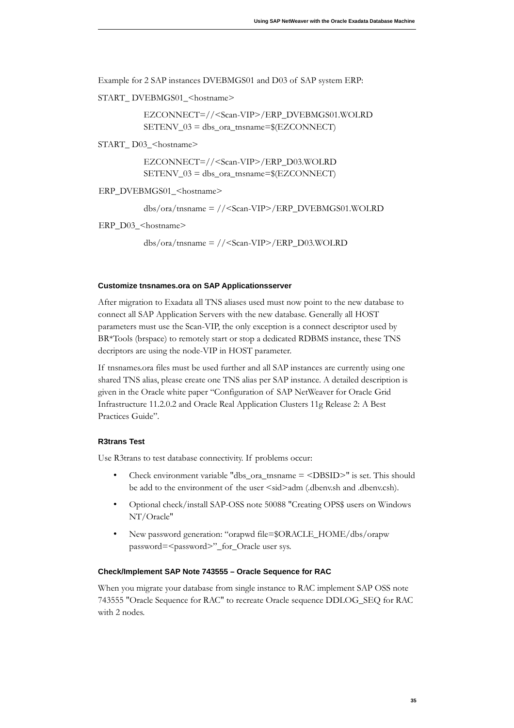Example for 2 SAP instances DVEBMGS01 and D03 of SAP system ERP:

START\_DVEBMGS01\_<hostname>

EZCONNECT=//<Scan-VIP>/ERP\_DVEBMGS01.WOLRD  $SETENV_03 = dbs_ora_tnsname=\$(EZCONNECT)$ 

START\_D03\_<hostname>

EZCONNECT=//<Scan-VIP>/ERP\_D03.WOLRD SETENV\_03 = dbs\_ora\_tnsname=\$(EZCONNECT)

ERP\_DVEBMGS01\_<hostname>

 $dbs/ora/tnsname = // <$ Scan-VIP>/ERP\_DVEBMGS01.WOLRD

ERP  $D03$  <hostname>

 $dbs/ora/tnsname = // <$ Scan-VIP>/ERP\_D03.WOLRD

#### **Customize tnsnames.ora on SAP Applicationsserver**

After migration to Exadata all TNS aliases used must now point to the new database to connect all SAP Application Servers with the new database. Generally all HOST parameters must use the Scan-VIP, the only exception is a connect descriptor used by BR\*Tools (brspace) to remotely start or stop a dedicated RDBMS instance, these TNS decriptors are using the node-VIP in HOST parameter.

If tnsnames. ora files must be used further and all SAP instances are currently using one shared TNS alias, please create one TNS alias per SAP instance. A detailed description is given in the Oracle white paper "Configuration of SAP NetWeaver for Oracle Grid Infrastructure 11.2.0.2 and Oracle Real Application Clusters 11g Release 2: A Best Practices Guide".

#### **R3trans Test**

Use R3trans to test database connectivity. If problems occur:

- Check environment variable "dbs\_ora\_tnsname  $=$  <DBSID>" is set. This should be add to the environment of the user  $\leq$ sid>adm (.dbenv.sh and .dbenv.csh).
- Optional check/install SAP-OSS note 50088 "Creating OPS\$ users on Windows NT/Oracle"
- password=<password>"\_for\_Oracle user sys. New password generation: "orapwd file=\$ORACLE\_HOME/dbs/orapw

#### **Check/Implement SAP Note 743555 – Oracle Sequence for RAC**

When you migrate your database from single instance to RAC implement SAP OSS note 743555 "Oracle Sequence for RAC" to recreate Oracle sequence DDLOG\_SEQ for RAC with 2 nodes.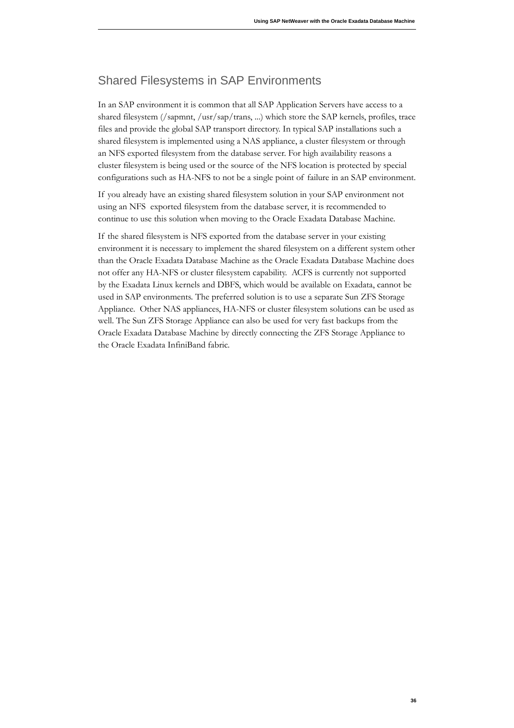### <span id="page-35-0"></span>Shared Filesystems in SAP Environments

In an SAP environment it is common that all SAP Application Servers have access to a shared filesystem (/sapmnt, /usr/sap/trans, ...) which store the SAP kernels, profiles, trace files and provide the global SAP transport directory. In typical SAP installations such a shared filesystem is implemented using a NAS appliance, a cluster filesystem or through an NFS exported filesystem from the database server. For high availability reasons a cluster filesystem is being used or the source of the NFS location is protected by special configurations such as HA-NFS to not be a single point of failure in an SAP environment.

If you already have an existing shared filesystem solution in your SAP environment not using an NFS exported filesystem from the database server, it is recommended to continue to use this solution when moving to the Oracle Exadata Database Machine.

If the shared filesystem is NFS exported from the database server in your existing environment it is necessary to implement the shared filesystem on a different system other than the Oracle Exadata Database Machine as the Oracle Exadata Database Machine does not offer any HA-NFS or cluster filesystem capability. ACFS is currently not supported by the Exadata Linux kernels and DBFS, which would be available on Exadata, cannot be used in SAP environments. The preferred solution is to use a separate Sun ZFS Storage Appliance. Other NAS appliances, HA-NFS or cluster filesystem solutions can be used as well. The Sun ZFS Storage Appliance can also be used for very fast backups from the Oracle Exadata Database Machine by directly connecting the ZFS Storage Appliance to the Oracle Exadata InfiniBand fabric.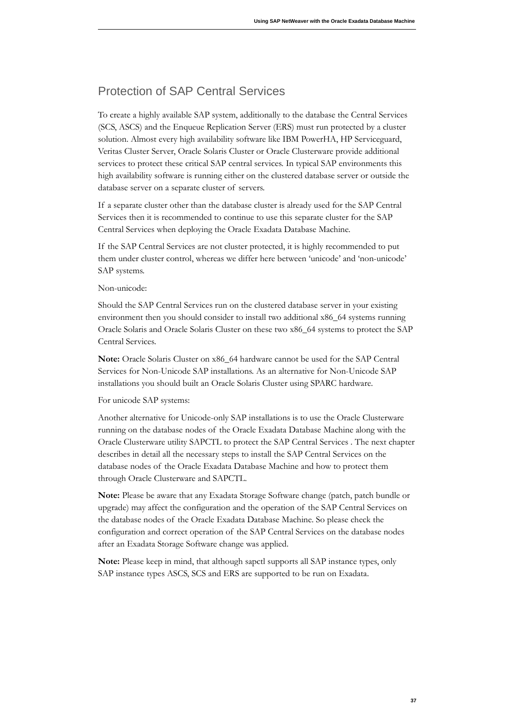# <span id="page-36-0"></span>Protection of SAP Central Services

To create a highly available SAP system, additionally to the database the Central Services (SCS, ASCS) and the Enqueue Replication Server (ERS) must run protected by a cluster solution. Almost every high availability software like IBM PowerHA, HP Serviceguard, Veritas Cluster Server, Oracle Solaris Cluster or Oracle Clusterware provide additional services to protect these critical SAP central services. In typical SAP environments this high availability software is running either on the clustered database server or outside the database server on a separate cluster of servers.

If a separate cluster other than the database cluster is already used for the SAP Central Services then it is recommended to continue to use this separate cluster for the SAP Central Services when deploying the Oracle Exadata Database Machine.

If the SAP Central Services are not cluster protected, it is highly recommended to put them under cluster control, whereas we differ here between 'unicode' and 'non-unicode' SAP systems.

#### Non-unicode:

Should the SAP Central Services run on the clustered database server in your existing environment then you should consider to install two additional x86\_64 systems running Oracle Solaris and Oracle Solaris Cluster on these two x86\_64 systems to protect the SAP Central Services.

Note: Oracle Solaris Cluster on x86\_64 hardware cannot be used for the SAP Central Services for Non-Unicode SAP installations. As an alternative for Non-Unicode SAP installations you should built an Oracle Solaris Cluster using SPARC hardware.

#### For unicode SAP systems:

Another alternative for Unicode-only SAP installations is to use the Oracle Clusterware running on the database nodes of the Oracle Exadata Database Machine along with the Oracle Clusterware utility SAPCTL to protect the SAP Central Services . The next chapter describes in detail all the necessary steps to install the SAP Central Services on the database nodes of the Oracle Exadata Database Machine and how to protect them through Oracle Clusterware and SAPCTL.

Note: Please be aware that any Exadata Storage Software change (patch, patch bundle or upgrade) may affect the configuration and the operation of the SAP Central Services on the database nodes of the Oracle Exadata Database Machine. So please check the configuration and correct operation of the SAP Central Services on the database nodes after an Exadata Storage Software change was applied.

Note: Please keep in mind, that although sapctl supports all SAP instance types, only SAP instance types ASCS, SCS and ERS are supported to be run on Exadata.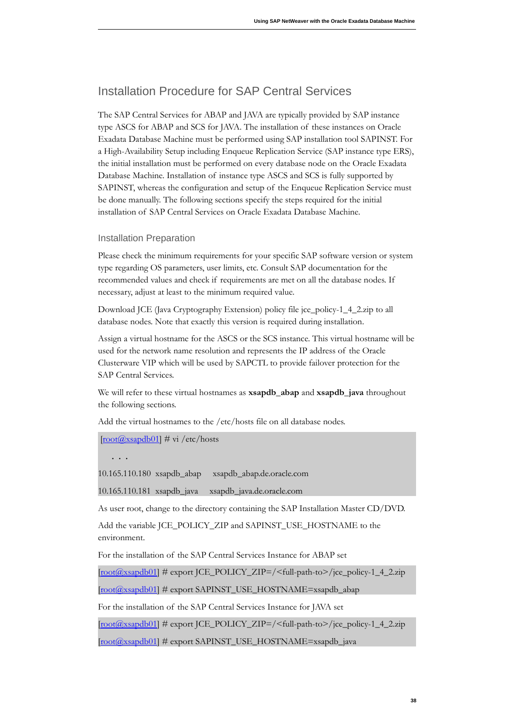## <span id="page-37-1"></span>Installation Procedure for SAP Central Services

The SAP Central Services for ABAP and JAVA are typically provided by SAP instance type ASCS for ABAP and SCS for JAVA. The installation of these instances on Oracle Exadata Database Machine must be performed using SAP installation tool SAPINST. For a High-Availability Setup including Enqueue Replication Service (SAP instance type ERS), the initial installation must be performed on every database node on the Oracle Exadata Database Machine. Installation of instance type ASCS and SCS is fully supported by SAPINST, whereas the configuration and setup of the Enqueue Replication Service must be done manually. The following sections specify the steps required for the initial installation of SAP Central Services on Oracle Exadata Database Machine.

#### <span id="page-37-0"></span>Installation Preparation

Please check the minimum requirements for your specific SAP software version or system type regarding OS parameters, user limits, etc. Consult SAP documentation for the recommended values and check if requirements are met on all the database nodes. If necessary, adjust at least to the minimum required value.

Download JCE (Java Cryptography Extension) policy file jce\_policy-1\_4\_2.zip to all database nodes. Note that exactly this version is required during installation.

Assign a virtual hostname for the ASCS or the SCS instance. This virtual hostname will be used for the network name resolution and represents the IP address of the Oracle Clusterware VIP which will be used by SAPCTL to provide failover protection for the SAP Central Services.

We will refer to these virtual hostnames as **xsapdb\_abap** and **xsapdb\_java** throughout the following sections.

Add the virtual hostnames to the /etc/hosts file on all database nodes.

 $\left[ \frac{\text{root}(a) \cdot \text{x} \cdot \text{cos}(b)}{1} \right]$  # vi /etc/hosts

**. . .** 

10.165.110.180 xsapdb\_abap 10.165.110.180 xsapdb\_abap xsapdb\_abap.de. racle.c m

10.165.110.181 xsapdb\_java xsapdb\_java.de.oracle.com

As user root, change to the directory containing the SAP Installation Master CD/DVD.

Add the variable JCE\_POLICY\_ZIP and SAPINST\_USE\_HOSTNAME to the environment.

For the installation of the SAP Central Services Instance for ABAP set

[root@xsapdb01] # export JCE\_POLICY\_ZIP=/<full-path-to>/jce\_policy-1\_4\_2.zip

[root@xsapdb01] # export SAPINST\_USE\_HOSTNAME=xsapdb\_abap

For the installation of the SAP Central Services Instance for JAVA set

[root@xsapdb01] # export JCE\_POLICY\_ZIP=/<full-path-to>/jce\_policy-1\_4\_2.zip

[root@xsapdb01] # export SAPINST\_USE\_HOSTNAME=xsapdb\_java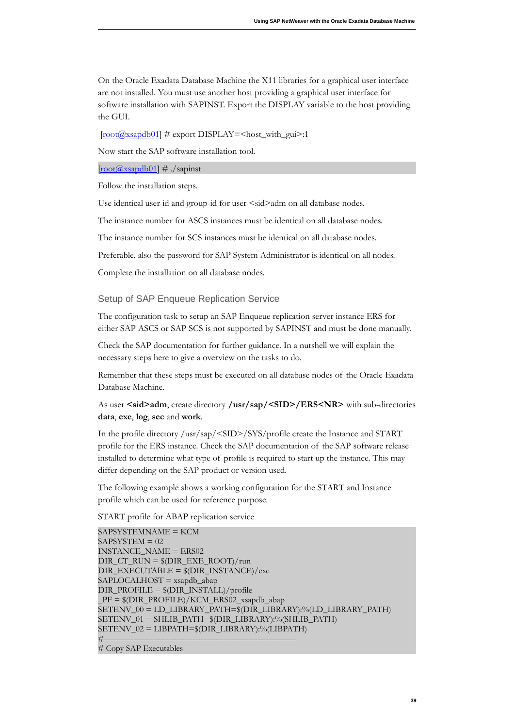On the Oracle Exadata Database Machine the X11 libraries for a graphical user interface are not installed. You must use another host providing a graphical user interface for software installation with SAPINST. Export the DISPLAY variable to the host providing the GUI.

 $[root@xsapdb01]$  # export DISPLAY=<host\_with\_gui>:1

Now start the SAP software installation tool.

 $[root@xsapdb01]$  # ./sapinst

Follow the installation steps.

Use identical user-id and group-id for user <sid>adm on all database nodes.

The instance number for ASCS instances must be identical on all database nodes.

The instance number for SCS instances must be identical on all database nodes.

Preferable, also the password for SAP System Administrator is identical on all nodes.

Complete the installation on all database nodes.

#### <span id="page-38-0"></span>Setup of SAP Enqueue Replication Service

The configuration task to setup an SAP Enqueue replication server instance ERS for either SAP ASCS or SAP SCS is not supported by SAPINST and must be done manually.

Check the SAP documentation for further guidance. In a nutshell we will explain the necessary steps here to give a overview on the tasks to do.

Remember that these steps must be executed on all database nodes of the Oracle Exadata Database Machine.

As user <sid>adm, create directory /usr/sap/<SID>/ERS<NR> with sub-directories **data**, **exe**, **log**, **sec** and **work**.

In the profile directory /usr/sap/<SID>/SYS/profile create the Instance and START profile for the ERS instance. Check the SAP documentation of the SAP software release installed to determine what type of profile is required to start up the instance. This may differ depending on the SAP product or version used.

The following example shows a working configuration for the START and Instance profile which can be used for reference purpose.

START profile for ABAP replication service

SAPSYSTEMNAME = KCM SAPSYSTEM = 02 INSTANCE\_NAME = ERS02 DIR\_CT\_RUN = \$(DIR\_EXE\_ROOT)/run DIR\_EXECUTABLE = \$(DIR\_INSTANCE)/exe SAPLOCALHOST = xsapdb\_abap  $DIR\_PROFILE = $(DIR\_INSTAIL)/profile$ \_PF = \$(DIR\_PROFILE)/KCM\_ERS02\_xsapdb\_abap SETENV\_00 = LD\_LIBRARY\_PATH=\$(DIR\_LIBRARY):%(LD\_LIBRARY\_PATH) SETENV\_01 = SHLIB\_PATH=\$(DIR\_LIBRARY):%(SHLIB\_PATH) SETENV\_02 = LIBPATH=\$(DIR\_LIBRARY):%(LIBPATH) #----------------------------------------------------------------------- # Copy SAP Executables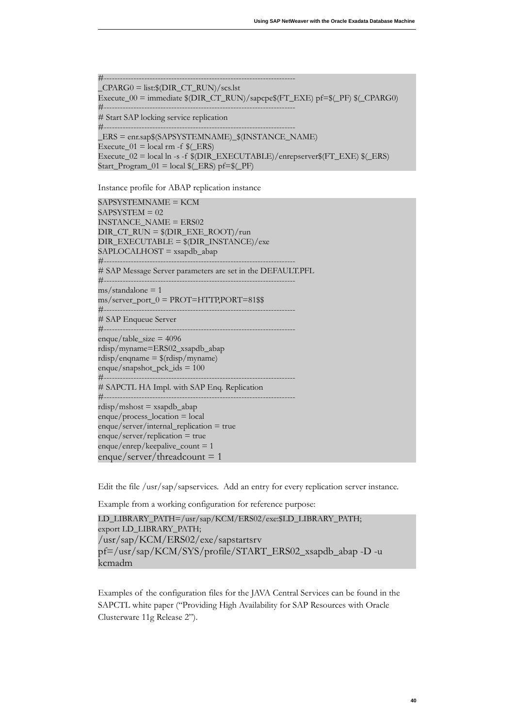```
#-----------------------------------------------------------------------
_CPARG0 = list:\nGDirac{T_RUN}/scs.1stExecute_00 = immediate $(DIR_CT_RUN)/sapcpe$(FT_EXE) pf=$(_PF) $(_CPARG0) 
#-----------------------------------------------------------------------
# Start SAP locking service replication
#-----------------------------------------------------------------------
_ERS = enr.sap$(SAPSYSTEMNAME)_$(INSTANCE_NAME)
```
Start\_Program\_01 = local  $(-ERS)$  pf= $(-PF)$ Execute\_01 = local rm -f  $$(ERS)$  $Execute_02 = local ln -s -f$   $QDIR_EXECUTABLE$ /enrepserver $P(FT_EXE)$   $Q(ERS)$ 

Start\_Program\_01 = local \$(\_ERS) pf=\$(\_PF)<br>Instance profile for ABAP replication instance

SAPSYSTEMNAME = KCM  $SAPSYSTEM = 02$ INSTANCE\_NAME = ERS02 DIR\_CT\_RUN = \$(DIR\_EXE\_ROOT)/run DIR\_EXECUTABLE = \$(DIR\_INSTANCE)/exe SAPLOCALHOST = xsapdb\_abap #----------------------------------------------------------------------- # SAP Message Server parameters are set in the DEFAULT.PFL #-----------------------------------------------------------------------  $\text{ms}/\text{standard}$  = 1  $\text{ms}/\text{server\_port\_0} = \text{PROT} = \text{HTTP} \cdot \text{PORT} = 81$  \$\$ #----------------------------------------------------------------------- # SAP Enqueue Server #----------------------------------------------------------------------  $enque/table_size = 4096$ rdisp/myname=ERS02\_xsapdb\_abap rdisp/enqname = \$(rdisp/myname)  $enque/snapshot_pck_ids = 100$ #----------------------------------------------------------------------- # SAPCTL HA Impl. with SAP Enq. Replication #----------------------------------------------------------------------  $r_{\text{disp}}/m_{\text{shost}} = x_{\text{sapdb}\_}\text{abap}$  $enque/process\_location = local$  $enque/server/internal_replication = true$  $enque/server/replication = true$  $enque/enerp/keepalive_count = 1$  $enque/server/thread count = 1$ 

Edit the file /usr/sap/sapservices. Add an entry for every replication server instance.

Example from a working configuration for reference purpose:

```
LD_LIBRARY_PATH=/usr/sap/KCM/ERS02/exe:$LD_LIBRARY_PATH; 
export LD_LIBRARY_PATH;
/usr/sap/KCM/ERS02/exe/sapstartsrv 
pf=/usr/sap/KCM/SYS/profile/START_ERS02_xsapdb_abap -D -u
kcmadm
```
Examples of the configuration files for the JAVA Central Services can be found in the SAPCTL white paper ("Providing High Availability for SAP Resources with Oracle Clusterware 11g Release 2").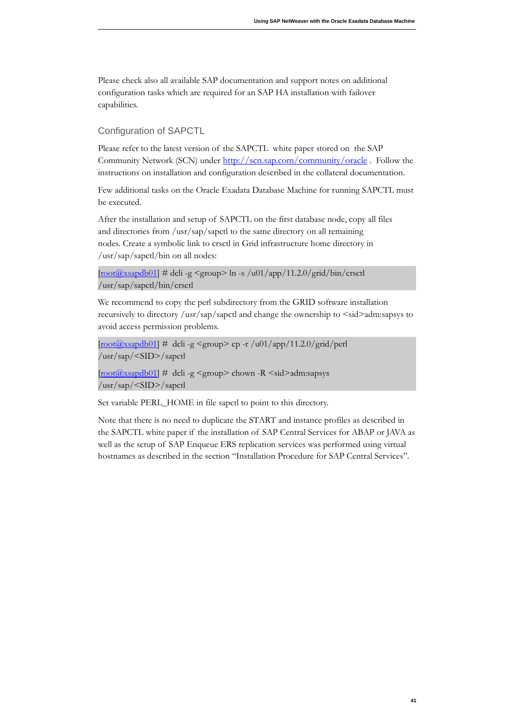Please check also all available SAP documentation and support notes on additional configuration tasks which are required for an SAP HA installation with failover capabilities.

#### <span id="page-40-0"></span>Configuration of SAPCTL

Please refer to the latest version of the SAPCTL white paper stored on the SAP Community Network (SCN) under http://scn.sap.com/community/oracle. Follow the instructions on installation and configuration described in the collateral documentation.

Few additional tasks on the Oracle Exadata Database Machine for running SAPCTL must be executed.

After the installation and setup of SAPCTL on the first database node, copy all files and directories from /usr/sap/sapctl to the same directory on all remaining nodes. Create a symbolic link to crsctl in Grid infrastructure home directory in /usr/sap/sapctl/bin on all nodes:

```
\left[\frac{\text{root}(a)\text{x} \cdot \text{cos}(b)}{1} \right] # dcli -g <group> ln -s /u01/app/11.2.0/grid/bin/crsctl
/usr/sap/sapctl/bin/crsctl
```
We recommend to copy the perl subdirectory from the GRID software installation recursively to directory /usr/sap/sapctl and change the ownership to <sid>adm:sapsys to avoid access permission problems.

 $\frac{[root(\text{Q}x \cdot \text{Sapdb01}]}{=}$  # dcli -g <group> cp -r /u01/app/11.2.0/grid/perl /usr/sap/<SID>/sapctl

[root@xsapdb01] # dcli -g <group> chown -R <sid>adm:sapsys /usr/sap/<SID>/sapctl

Set variable PERL\_HOME in file sapctl to point to this directory.

Note that there is no need to duplicate the START and instance profiles as described in the SAPCTL white paper if the installation of SAP Central Services for ABAP or JAVA as well as the setup of SAP Enqueue ERS replication services was performed using virtual hostnames as described in the section "Installation Procedure for SAP Central Services".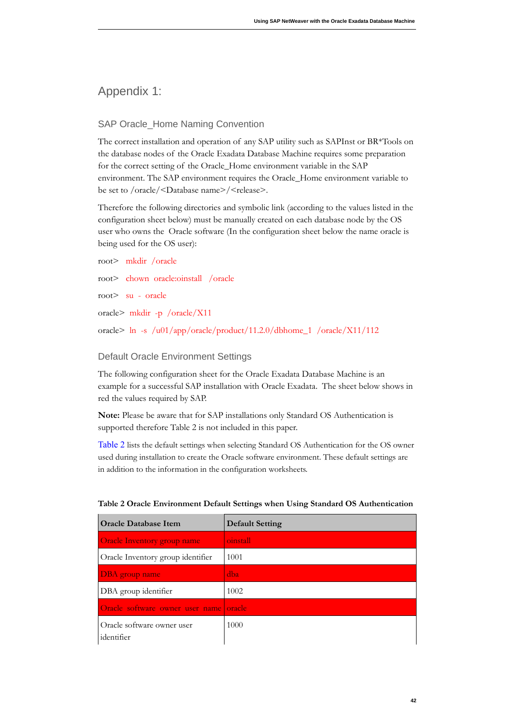### <span id="page-41-2"></span>Appendix 1:

#### <span id="page-41-1"></span>SAP Oracle\_Home Naming Convention

The correct installation and operation of any SAP utility such as SAPInst or BR\*Tools on the database nodes of the Oracle Exadata Database Machine requires some preparation for the correct setting of the Oracle\_Home environment variable in the SAP environment. The SAP environment requires the Oracle\_Home environment variable to be set to /oracle/<Database name>/<release>.

Therefore the following directories and symbolic link (according to the values listed in the configuration sheet below) must be manually created on each database node by the OS user who owns the Oracle software (In the configuration sheet below the name oracle is being used for the OS user):

```
root> mkdir / oracle
root> chown oracle: oinstall / oracle
root> su - oracle
oracle> mkdir -p / oracle/X11
oracle> ln -s /u01/app/oracle/product/11.2.0/dbhome_1 /oracle/X11/112
```
#### <span id="page-41-0"></span>Default Oracle Environment Settings

The following configuration sheet for the Oracle Exadata Database Machine is an example for a successful SAP installation with Oracle Exadata. The sheet below shows in red the values required by SAP.

Note: Please be aware that for SAP installations only Standard OS Authentication is supported therefore Table 2 is not included in this paper.

Table 2 lists the default settings when selecting Standard OS Authentication for the OS owner used during installation to create the Oracle software environment. These default settings are in addition to the information in the configuration worksheets.

| <b>Oracle Database Item</b>              | <b>Default Setting</b> |
|------------------------------------------|------------------------|
| Oracle Inventory group name              | oinstall               |
| Oracle Inventory group identifier        | 1001                   |
| DBA group name                           | dba                    |
| DBA group identifier                     | 1002                   |
| Oracle software owner user name oracle   |                        |
| Oracle software owner user<br>identifier | 1000                   |

#### Table 2 Oracle Environment Default Settings when Using Standard OS Authentication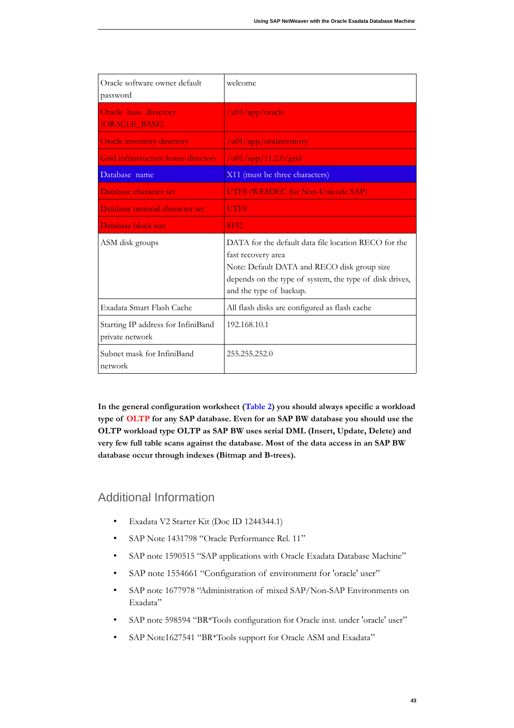| Oracle software owner default<br>password             | welcome                                                                                                                                                                                                         |
|-------------------------------------------------------|-----------------------------------------------------------------------------------------------------------------------------------------------------------------------------------------------------------------|
| Oracle base directory<br>(ORACLE_BASE)                | $/$ u $01$ /app/oracle                                                                                                                                                                                          |
| <b>Oracle inventory directory</b>                     | $/$ u01/app/oraInventory                                                                                                                                                                                        |
| Grid infrastructure home directory                    | $/$ u01/app/11.2.0/grid                                                                                                                                                                                         |
| Database name                                         | X11 (must be three characters)                                                                                                                                                                                  |
| Database character set                                | UTF8 (WE8DEC for Non-Unicode SAP)                                                                                                                                                                               |
| Database national character set                       | UTF8                                                                                                                                                                                                            |
| Database block size                                   | 8192                                                                                                                                                                                                            |
|                                                       |                                                                                                                                                                                                                 |
| ASM disk groups                                       | DATA for the default data file location RECO for the<br>fast recovery area<br>Note: Default DATA and RECO disk group size<br>depends on the type of system, the type of disk drives,<br>and the type of backup. |
| Exadata Smart Flash Cache                             | All flash disks are configured as flash cache                                                                                                                                                                   |
| Starting IP address for InfiniBand<br>private network | 192.168.10.1                                                                                                                                                                                                    |

**In the general configuration worksheet (Table 2) you should always specific a workload**  type of OLTP for any SAP database. Even for an SAP BW database you should use the OLTP workload type OLTP as SAP BW uses serial DML (Insert, Update, Delete) and very few full table scans against the database. Most of the data access in an SAP BW **database occur through indexes (Bitmap and B-trees).** 

### <span id="page-42-0"></span>Additional Information

- Exadata V2 Starter Kit (Doc ID 1244344.1)
- SAP Note 1431798 "Oracle Performance Rel. 11"
- SAP note 1590515 "SAP applications with Oracle Exadata Database Machine"
- SAP note 1554661 "Configuration of environment for 'oracle' user"
- SAP note 1677978 "Administration of mixed SAP/Non-SAP Environments on Exadata"
- SAP note 598594 "BR\*Tools configuration for Oracle inst. under 'oracle' user"
- SAP Note1627541 "BR\*Tools support for Oracle ASM and Exadata"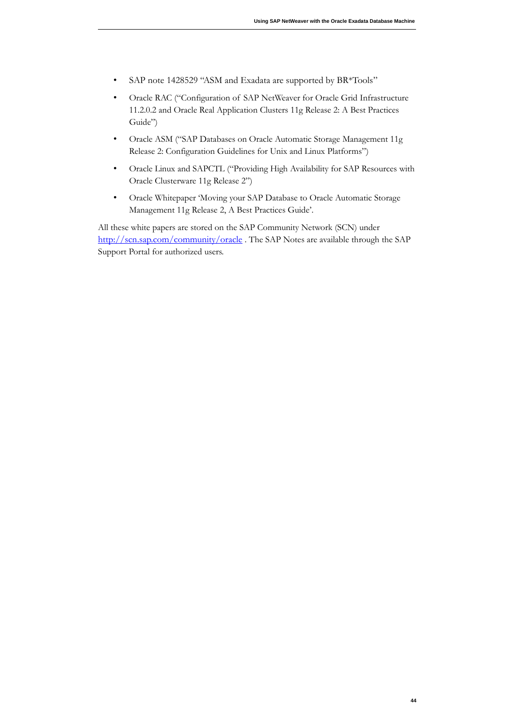- SAP note 1428529 "ASM and Exadata are supported by BR\*Tools"
- Oracle RAC ("Configuration of SAP NetWeaver for Oracle Grid Infrastructure 11.2.0.2 and Oracle Real Application Clusters 11g Release 2: A Best Practices Guide")
- Oracle ASM ("SAP Databases on Oracle Automatic Storage Management 11g Release 2: Configuration Guidelines for Unix and Linux Platforms")
- Oracle Linux and SAPCTL ("Providing High Availability for SAP Resources with Oracle Clusterware 11g Release 2")
- Oracle Whitepaper 'Moving your SAP Database to Oracle Automatic Storage Management 11g Release 2, A Best Practices Guide'.

All these white papers are stored on the SAP Community Network (SCN) under http://scn.sap.com/community/oracle . The SAP Notes are available through the SAP Support Portal for authorized users.